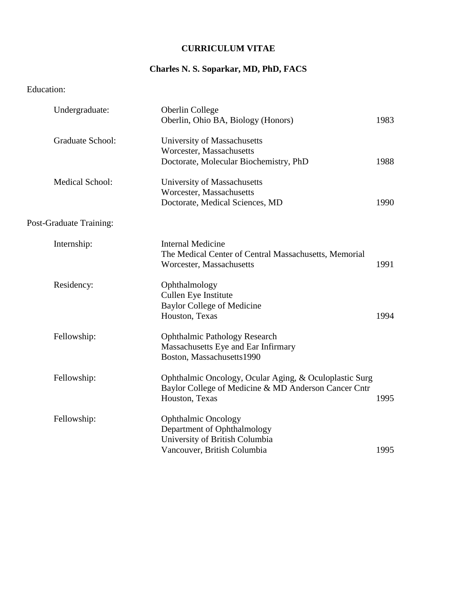### **CURRICULUM VITAE**

# **Charles N. S. Soparkar, MD, PhD, FACS**

# Education:

| Undergraduate:          | Oberlin College                                        |      |
|-------------------------|--------------------------------------------------------|------|
|                         | Oberlin, Ohio BA, Biology (Honors)                     | 1983 |
| <b>Graduate School:</b> | University of Massachusetts                            |      |
|                         | Worcester, Massachusetts                               |      |
|                         | Doctorate, Molecular Biochemistry, PhD                 | 1988 |
| <b>Medical School:</b>  | University of Massachusetts                            |      |
|                         | Worcester, Massachusetts                               |      |
|                         | Doctorate, Medical Sciences, MD                        | 1990 |
| Post-Graduate Training: |                                                        |      |
| Internship:             | <b>Internal Medicine</b>                               |      |
|                         | The Medical Center of Central Massachusetts, Memorial  |      |
|                         | Worcester, Massachusetts                               | 1991 |
| Residency:              | Ophthalmology                                          |      |
|                         | Cullen Eye Institute                                   |      |
|                         | <b>Baylor College of Medicine</b>                      |      |
|                         | Houston, Texas                                         | 1994 |
| Fellowship:             | <b>Ophthalmic Pathology Research</b>                   |      |
|                         | Massachusetts Eye and Ear Infirmary                    |      |
|                         | Boston, Massachusetts1990                              |      |
| Fellowship:             | Ophthalmic Oncology, Ocular Aging, & Oculoplastic Surg |      |
|                         | Baylor College of Medicine & MD Anderson Cancer Cntr   |      |
|                         | Houston, Texas                                         | 1995 |
| Fellowship:             | <b>Ophthalmic Oncology</b>                             |      |
|                         | Department of Ophthalmology                            |      |
|                         | University of British Columbia                         |      |
|                         | Vancouver, British Columbia                            | 1995 |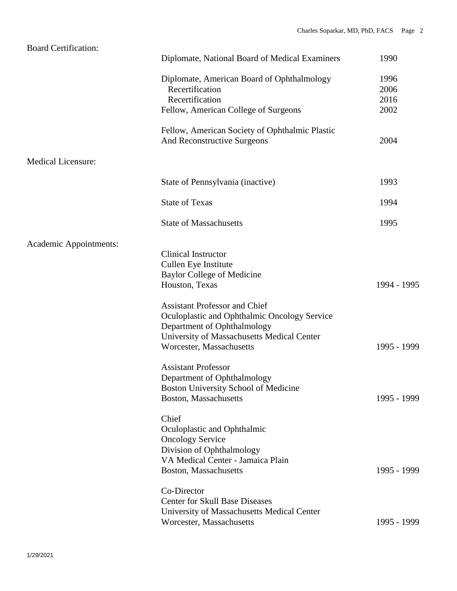| <b>Board Certification:</b> |                                                |             |
|-----------------------------|------------------------------------------------|-------------|
|                             | Diplomate, National Board of Medical Examiners | 1990        |
|                             | Diplomate, American Board of Ophthalmology     | 1996        |
|                             | Recertification                                | 2006        |
|                             | Recertification                                | 2016        |
|                             | Fellow, American College of Surgeons           | 2002        |
|                             | Fellow, American Society of Ophthalmic Plastic |             |
|                             | <b>And Reconstructive Surgeons</b>             | 2004        |
| <b>Medical Licensure:</b>   |                                                |             |
|                             | State of Pennsylvania (inactive)               | 1993        |
|                             | <b>State of Texas</b>                          | 1994        |
|                             | <b>State of Massachusetts</b>                  | 1995        |
| Academic Appointments:      |                                                |             |
|                             | <b>Clinical Instructor</b>                     |             |
|                             | Cullen Eye Institute                           |             |
|                             | <b>Baylor College of Medicine</b>              |             |
|                             | Houston, Texas                                 | 1994 - 1995 |
|                             | <b>Assistant Professor and Chief</b>           |             |
|                             | Oculoplastic and Ophthalmic Oncology Service   |             |
|                             | Department of Ophthalmology                    |             |
|                             | University of Massachusetts Medical Center     |             |
|                             | Worcester, Massachusetts                       | 1995 - 1999 |
|                             | <b>Assistant Professor</b>                     |             |
|                             | Department of Ophthalmology                    |             |
|                             | Boston University School of Medicine           |             |
|                             | Boston, Massachusetts                          | 1995 - 1999 |
|                             | Chief                                          |             |
|                             | Oculoplastic and Ophthalmic                    |             |
|                             | <b>Oncology Service</b>                        |             |
|                             | Division of Ophthalmology                      |             |
|                             | VA Medical Center - Jamaica Plain              |             |
|                             | Boston, Massachusetts                          | 1995 - 1999 |
|                             | Co-Director                                    |             |
|                             | <b>Center for Skull Base Diseases</b>          |             |
|                             | University of Massachusetts Medical Center     |             |
|                             | Worcester, Massachusetts                       | 1995 - 1999 |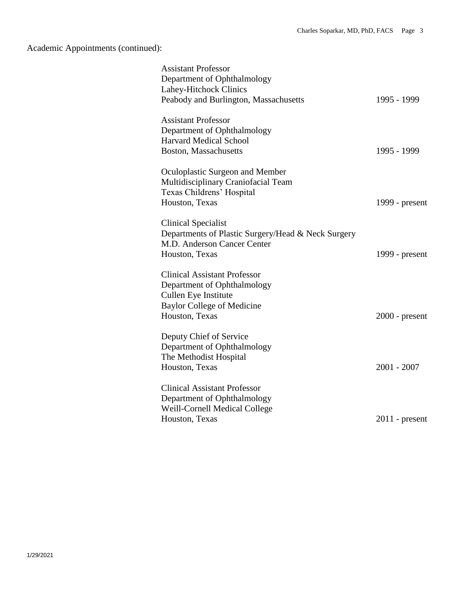Academic Appointments (continued):

| <b>Assistant Professor</b><br>Department of Ophthalmology<br>Lahey-Hitchock Clinics<br>Peabody and Burlington, Massachusetts                      | 1995 - 1999      |
|---------------------------------------------------------------------------------------------------------------------------------------------------|------------------|
| <b>Assistant Professor</b><br>Department of Ophthalmology<br><b>Harvard Medical School</b><br>Boston, Massachusetts                               | 1995 - 1999      |
| Oculoplastic Surgeon and Member<br>Multidisciplinary Craniofacial Team<br>Texas Childrens' Hospital<br>Houston, Texas                             | 1999 - present   |
| Clinical Specialist<br>Departments of Plastic Surgery/Head & Neck Surgery<br>M.D. Anderson Cancer Center<br>Houston, Texas                        | 1999 - present   |
| <b>Clinical Assistant Professor</b><br>Department of Ophthalmology<br>Cullen Eye Institute<br><b>Baylor College of Medicine</b><br>Houston, Texas | $2000$ - present |
| Deputy Chief of Service<br>Department of Ophthalmology<br>The Methodist Hospital<br>Houston, Texas                                                | $2001 - 2007$    |
| <b>Clinical Assistant Professor</b><br>Department of Ophthalmology<br>Weill-Cornell Medical College<br>Houston, Texas                             | $2011$ - present |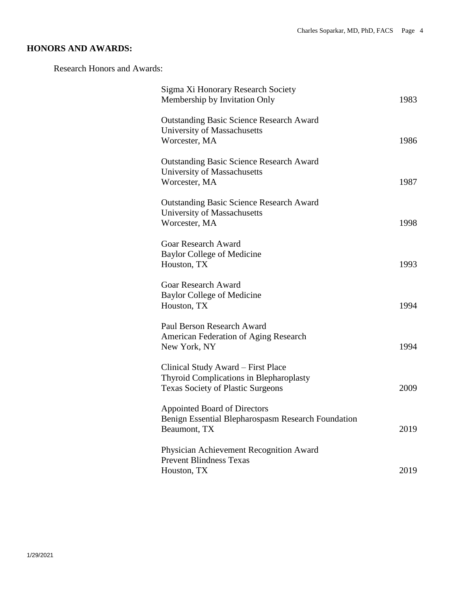# **HONORS AND AWARDS:**

Research Honors and Awards:

| Sigma Xi Honorary Research Society<br>Membership by Invitation Only                                                       | 1983 |
|---------------------------------------------------------------------------------------------------------------------------|------|
| <b>Outstanding Basic Science Research Award</b><br>University of Massachusetts<br>Worcester, MA                           | 1986 |
| <b>Outstanding Basic Science Research Award</b><br>University of Massachusetts<br>Worcester, MA                           | 1987 |
| <b>Outstanding Basic Science Research Award</b><br>University of Massachusetts<br>Worcester, MA                           | 1998 |
| <b>Goar Research Award</b><br><b>Baylor College of Medicine</b><br>Houston, TX                                            | 1993 |
| <b>Goar Research Award</b><br><b>Baylor College of Medicine</b><br>Houston, TX                                            | 1994 |
| Paul Berson Research Award<br>American Federation of Aging Research<br>New York, NY                                       | 1994 |
| Clinical Study Award - First Place<br>Thyroid Complications in Blepharoplasty<br><b>Texas Society of Plastic Surgeons</b> | 2009 |
| <b>Appointed Board of Directors</b><br>Benign Essential Blepharospasm Research Foundation<br>Beaumont, TX                 | 2019 |
| Physician Achievement Recognition Award<br><b>Prevent Blindness Texas</b><br>Houston, TX                                  | 2019 |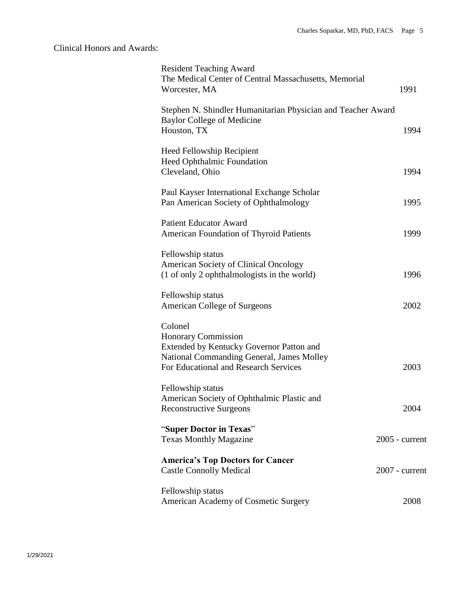## Clinical Honors and Awards:

| <b>Resident Teaching Award</b><br>The Medical Center of Central Massachusetts, Memorial<br>Worcester, MA                                                                | 1991             |
|-------------------------------------------------------------------------------------------------------------------------------------------------------------------------|------------------|
| Stephen N. Shindler Humanitarian Physician and Teacher Award<br><b>Baylor College of Medicine</b><br>Houston, TX                                                        | 1994             |
| <b>Heed Fellowship Recipient</b><br>Heed Ophthalmic Foundation<br>Cleveland, Ohio                                                                                       | 1994             |
| Paul Kayser International Exchange Scholar<br>Pan American Society of Ophthalmology                                                                                     | 1995             |
| <b>Patient Educator Award</b><br>American Foundation of Thyroid Patients                                                                                                | 1999             |
| Fellowship status<br>American Society of Clinical Oncology<br>(1 of only 2 ophthalmologists in the world)                                                               | 1996             |
| Fellowship status<br><b>American College of Surgeons</b>                                                                                                                | 2002             |
| Colonel<br><b>Honorary Commission</b><br>Extended by Kentucky Governor Patton and<br>National Commanding General, James Molley<br>For Educational and Research Services | 2003             |
| Fellowship status<br>American Society of Ophthalmic Plastic and<br><b>Reconstructive Surgeons</b>                                                                       | 2004             |
| "Super Doctor in Texas"<br><b>Texas Monthly Magazine</b>                                                                                                                | $2005$ - current |
| <b>America's Top Doctors for Cancer</b><br><b>Castle Connolly Medical</b>                                                                                               | $2007$ - current |
| Fellowship status<br>American Academy of Cosmetic Surgery                                                                                                               | 2008             |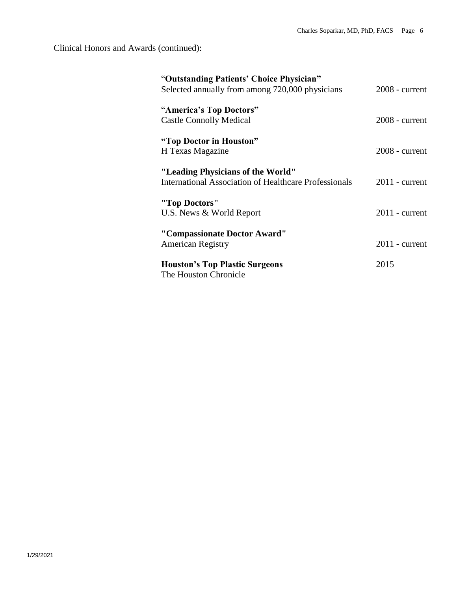Clinical Honors and Awards (continued):

| "Outstanding Patients' Choice Physician"<br>Selected annually from among 720,000 physicians | $2008$ - current |
|---------------------------------------------------------------------------------------------|------------------|
| "America's Top Doctors"<br><b>Castle Connolly Medical</b>                                   | $2008$ - current |
| "Top Doctor in Houston"<br>H Texas Magazine                                                 | $2008$ - current |
| "Leading Physicians of the World"<br>International Association of Healthcare Professionals  | $2011$ - current |
| "Top Doctors"<br>U.S. News & World Report                                                   | $2011$ - current |
| "Compassionate Doctor Award"<br><b>American Registry</b>                                    | $2011$ - current |
| <b>Houston's Top Plastic Surgeons</b><br>The Houston Chronicle                              | 2015             |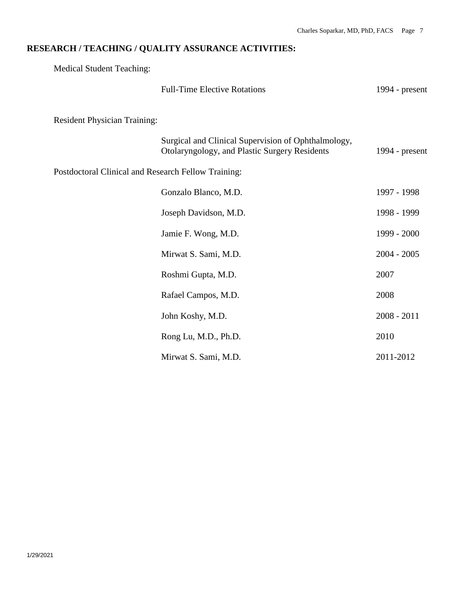# **RESEARCH / TEACHING / QUALITY ASSURANCE ACTIVITIES:**

Medical Student Teaching:

|                                                     | <b>Full-Time Elective Rotations</b>                                                                  | 1994 - $present$ |
|-----------------------------------------------------|------------------------------------------------------------------------------------------------------|------------------|
| <b>Resident Physician Training:</b>                 |                                                                                                      |                  |
|                                                     | Surgical and Clinical Supervision of Ophthalmology,<br>Otolaryngology, and Plastic Surgery Residents | 1994 - $present$ |
| Postdoctoral Clinical and Research Fellow Training: |                                                                                                      |                  |
|                                                     | Gonzalo Blanco, M.D.                                                                                 | 1997 - 1998      |
|                                                     | Joseph Davidson, M.D.                                                                                | 1998 - 1999      |
|                                                     | Jamie F. Wong, M.D.                                                                                  | 1999 - 2000      |
|                                                     | Mirwat S. Sami, M.D.                                                                                 | $2004 - 2005$    |
|                                                     | Roshmi Gupta, M.D.                                                                                   | 2007             |
|                                                     | Rafael Campos, M.D.                                                                                  | 2008             |
|                                                     | John Koshy, M.D.                                                                                     | $2008 - 2011$    |
|                                                     | Rong Lu, M.D., Ph.D.                                                                                 | 2010             |
|                                                     | Mirwat S. Sami, M.D.                                                                                 | 2011-2012        |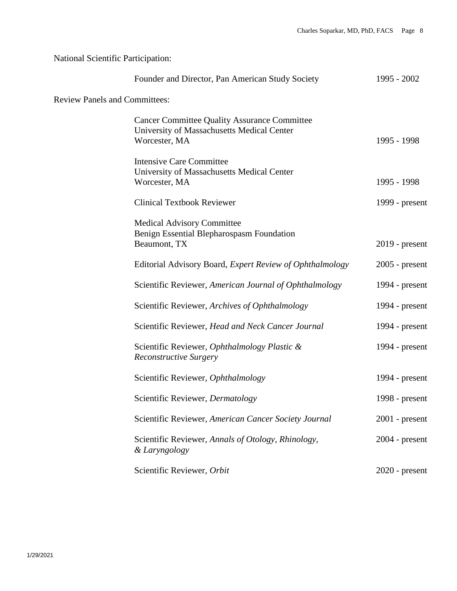# National Scientific Participation:

|                                      | Founder and Director, Pan American Study Society                                                                   | 1995 - 2002      |
|--------------------------------------|--------------------------------------------------------------------------------------------------------------------|------------------|
| <b>Review Panels and Committees:</b> |                                                                                                                    |                  |
|                                      | <b>Cancer Committee Quality Assurance Committee</b><br>University of Massachusetts Medical Center<br>Worcester, MA | 1995 - 1998      |
|                                      | <b>Intensive Care Committee</b><br>University of Massachusetts Medical Center<br>Worcester, MA                     | 1995 - 1998      |
|                                      | <b>Clinical Textbook Reviewer</b>                                                                                  | 1999 - $present$ |
|                                      | <b>Medical Advisory Committee</b><br>Benign Essential Blepharospasm Foundation<br>Beaumont, TX                     | $2019$ - present |
|                                      | Editorial Advisory Board, Expert Review of Ophthalmology                                                           | $2005$ - present |
|                                      | Scientific Reviewer, American Journal of Ophthalmology                                                             | 1994 - $present$ |
|                                      | Scientific Reviewer, Archives of Ophthalmology                                                                     | 1994 - $present$ |
|                                      | Scientific Reviewer, Head and Neck Cancer Journal                                                                  | 1994 - $present$ |
|                                      | Scientific Reviewer, Ophthalmology Plastic &<br><b>Reconstructive Surgery</b>                                      | 1994 - $present$ |
|                                      | Scientific Reviewer, Ophthalmology                                                                                 | 1994 - present   |
|                                      | Scientific Reviewer, Dermatology                                                                                   | 1998 - present   |
|                                      | Scientific Reviewer, American Cancer Society Journal                                                               | $2001$ - present |
|                                      | Scientific Reviewer, Annals of Otology, Rhinology,<br>& Laryngology                                                | 2004 - present   |
|                                      | Scientific Reviewer, Orbit                                                                                         | $2020$ - present |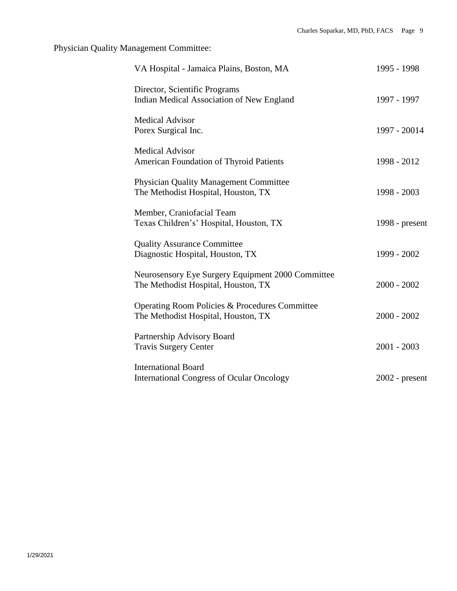Physician Quality Management Committee:

| VA Hospital - Jamaica Plains, Boston, MA                                                 | 1995 - 1998      |
|------------------------------------------------------------------------------------------|------------------|
| Director, Scientific Programs<br>Indian Medical Association of New England               | 1997 - 1997      |
| <b>Medical Advisor</b><br>Porex Surgical Inc.                                            | 1997 - 20014     |
| <b>Medical Advisor</b><br>American Foundation of Thyroid Patients                        | 1998 - 2012      |
| <b>Physician Quality Management Committee</b><br>The Methodist Hospital, Houston, TX     | 1998 - 2003      |
| Member, Craniofacial Team<br>Texas Children's' Hospital, Houston, TX                     | 1998 - $present$ |
| <b>Quality Assurance Committee</b><br>Diagnostic Hospital, Houston, TX                   | 1999 - 2002      |
| Neurosensory Eye Surgery Equipment 2000 Committee<br>The Methodist Hospital, Houston, TX | $2000 - 2002$    |
| Operating Room Policies & Procedures Committee<br>The Methodist Hospital, Houston, TX    | $2000 - 2002$    |
| Partnership Advisory Board<br><b>Travis Surgery Center</b>                               | $2001 - 2003$    |
| <b>International Board</b><br><b>International Congress of Ocular Oncology</b>           | $2002$ - present |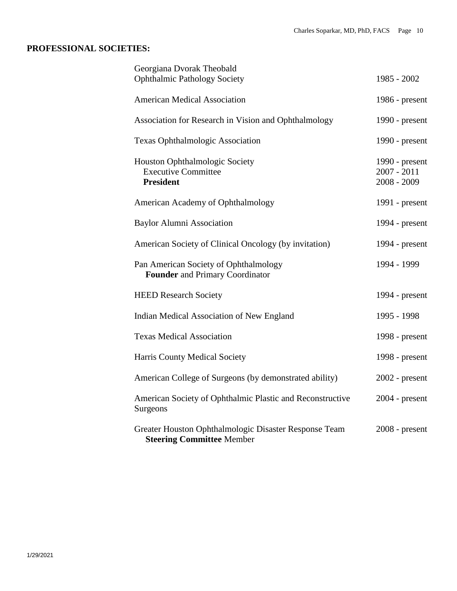## **PROFESSIONAL SOCIETIES:**

| Georgiana Dvorak Theobald<br><b>Ophthalmic Pathology Society</b>                          | 1985 - 2002                                      |
|-------------------------------------------------------------------------------------------|--------------------------------------------------|
| <b>American Medical Association</b>                                                       | 1986 - present                                   |
| Association for Research in Vision and Ophthalmology                                      | 1990 - present                                   |
| <b>Texas Ophthalmologic Association</b>                                                   | 1990 - present                                   |
| Houston Ophthalmologic Society<br><b>Executive Committee</b><br><b>President</b>          | 1990 - present<br>$2007 - 2011$<br>$2008 - 2009$ |
| American Academy of Ophthalmology                                                         | 1991 - present                                   |
| <b>Baylor Alumni Association</b>                                                          | 1994 - present                                   |
| American Society of Clinical Oncology (by invitation)                                     | 1994 - present                                   |
| Pan American Society of Ophthalmology<br>Founder and Primary Coordinator                  | 1994 - 1999                                      |
| <b>HEED Research Society</b>                                                              | 1994 - present                                   |
| Indian Medical Association of New England                                                 | 1995 - 1998                                      |
| <b>Texas Medical Association</b>                                                          | 1998 - present                                   |
| Harris County Medical Society                                                             | 1998 - present                                   |
| American College of Surgeons (by demonstrated ability)                                    | $2002$ - present                                 |
| American Society of Ophthalmic Plastic and Reconstructive<br>Surgeons                     | $2004$ - present                                 |
| Greater Houston Ophthalmologic Disaster Response Team<br><b>Steering Committee Member</b> | $2008$ - present                                 |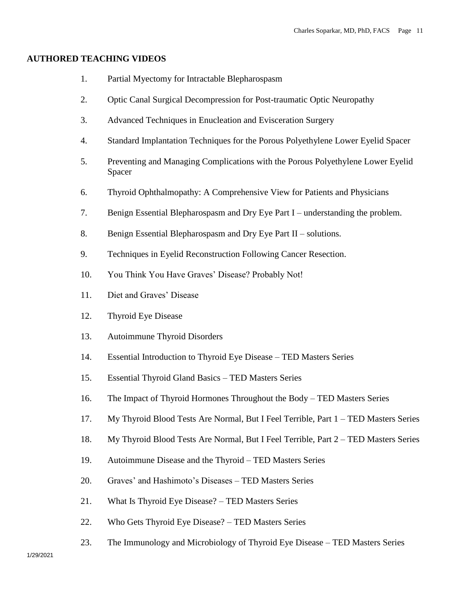#### **AUTHORED TEACHING VIDEOS**

- 1. Partial Myectomy for Intractable Blepharospasm
- 2. Optic Canal Surgical Decompression for Post-traumatic Optic Neuropathy
- 3. Advanced Techniques in Enucleation and Evisceration Surgery
- 4. Standard Implantation Techniques for the Porous Polyethylene Lower Eyelid Spacer
- 5. Preventing and Managing Complications with the Porous Polyethylene Lower Eyelid Spacer
- 6. Thyroid Ophthalmopathy: A Comprehensive View for Patients and Physicians
- 7. Benign Essential Blepharospasm and Dry Eye Part I understanding the problem.
- 8. Benign Essential Blepharospasm and Dry Eye Part II solutions.
- 9. Techniques in Eyelid Reconstruction Following Cancer Resection.
- 10. You Think You Have Graves' Disease? Probably Not!
- 11. Diet and Graves' Disease
- 12. Thyroid Eye Disease
- 13. Autoimmune Thyroid Disorders
- 14. Essential Introduction to Thyroid Eye Disease TED Masters Series
- 15. Essential Thyroid Gland Basics TED Masters Series
- 16. The Impact of Thyroid Hormones Throughout the Body TED Masters Series
- 17. My Thyroid Blood Tests Are Normal, But I Feel Terrible, Part 1 TED Masters Series
- 18. My Thyroid Blood Tests Are Normal, But I Feel Terrible, Part 2 TED Masters Series
- 19. Autoimmune Disease and the Thyroid TED Masters Series
- 20. Graves' and Hashimoto's Diseases TED Masters Series
- 21. What Is Thyroid Eye Disease? TED Masters Series
- 22. Who Gets Thyroid Eye Disease? TED Masters Series
- 23. The Immunology and Microbiology of Thyroid Eye Disease TED Masters Series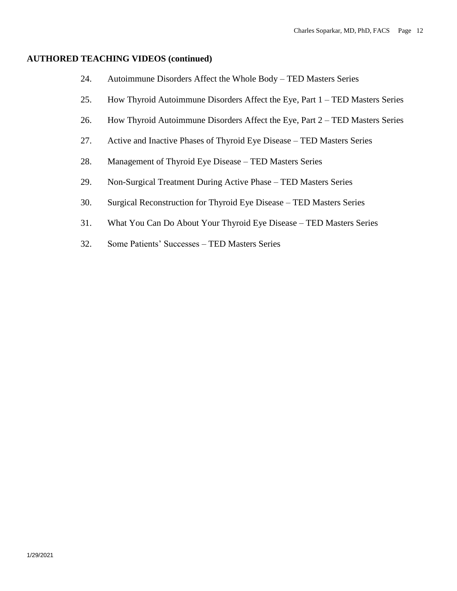#### **AUTHORED TEACHING VIDEOS (continued)**

- 24. Autoimmune Disorders Affect the Whole Body TED Masters Series
- 25. How Thyroid Autoimmune Disorders Affect the Eye, Part 1 TED Masters Series
- 26. How Thyroid Autoimmune Disorders Affect the Eye, Part 2 TED Masters Series
- 27. Active and Inactive Phases of Thyroid Eye Disease TED Masters Series
- 28. Management of Thyroid Eye Disease TED Masters Series
- 29. Non-Surgical Treatment During Active Phase TED Masters Series
- 30. Surgical Reconstruction for Thyroid Eye Disease TED Masters Series
- 31. What You Can Do About Your Thyroid Eye Disease TED Masters Series
- 32. Some Patients' Successes TED Masters Series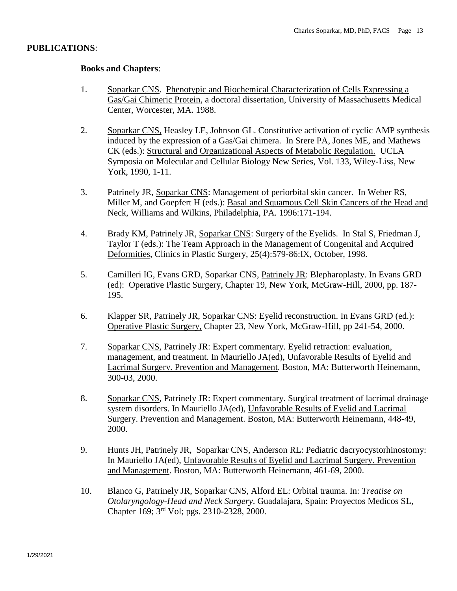### **PUBLICATIONS**:

### **Books and Chapters**:

- 1. Soparkar CNS. Phenotypic and Biochemical Characterization of Cells Expressing a Gas/Gai Chimeric Protein, a doctoral dissertation, University of Massachusetts Medical Center, Worcester, MA. 1988.
- 2. Soparkar CNS, Heasley LE, Johnson GL. Constitutive activation of cyclic AMP synthesis induced by the expression of a Gas/Gai chimera. In Srere PA, Jones ME, and Mathews CK (eds.): Structural and Organizational Aspects of Metabolic Regulation. UCLA Symposia on Molecular and Cellular Biology New Series, Vol. 133, Wiley-Liss, New York, 1990, 1-11.
- 3. Patrinely JR, Soparkar CNS: Management of periorbital skin cancer. In Weber RS, Miller M, and Goepfert H (eds.): Basal and Squamous Cell Skin Cancers of the Head and Neck, Williams and Wilkins, Philadelphia, PA. 1996:171-194.
- 4. Brady KM, Patrinely JR, Soparkar CNS: Surgery of the Eyelids. In Stal S, Friedman J, Taylor T (eds.): The Team Approach in the Management of Congenital and Acquired Deformities, Clinics in Plastic Surgery, 25(4):579-86:IX, October, 1998.
- 5. Camilleri IG, Evans GRD, Soparkar CNS, Patrinely JR: Blepharoplasty. In Evans GRD (ed): Operative Plastic Surgery, Chapter 19, New York, McGraw-Hill, 2000, pp. 187- 195.
- 6. Klapper SR, Patrinely JR, Soparkar CNS: Eyelid reconstruction. In Evans GRD (ed.): Operative Plastic Surgery, Chapter 23, New York, McGraw-Hill, pp 241-54, 2000.
- 7. Soparkar CNS, Patrinely JR: Expert commentary. Eyelid retraction: evaluation, management, and treatment. In Mauriello JA(ed), Unfavorable Results of Eyelid and Lacrimal Surgery. Prevention and Management. Boston, MA: Butterworth Heinemann, 300-03, 2000.
- 8. Soparkar CNS, Patrinely JR: Expert commentary. Surgical treatment of lacrimal drainage system disorders. In Mauriello JA(ed), Unfavorable Results of Eyelid and Lacrimal Surgery. Prevention and Management. Boston, MA: Butterworth Heinemann, 448-49, 2000.
- 9. Hunts JH, Patrinely JR, Soparkar CNS, Anderson RL: Pediatric dacryocystorhinostomy: In Mauriello JA(ed), Unfavorable Results of Eyelid and Lacrimal Surgery. Prevention and Management. Boston, MA: Butterworth Heinemann, 461-69, 2000.
- 10. Blanco G, Patrinely JR, Soparkar CNS, Alford EL: Orbital trauma. In: *Treatise on Otolaryngology-Head and Neck Surgery*. Guadalajara, Spain: Proyectos Medicos SL, Chapter 169; 3rd Vol; pgs. 2310-2328, 2000.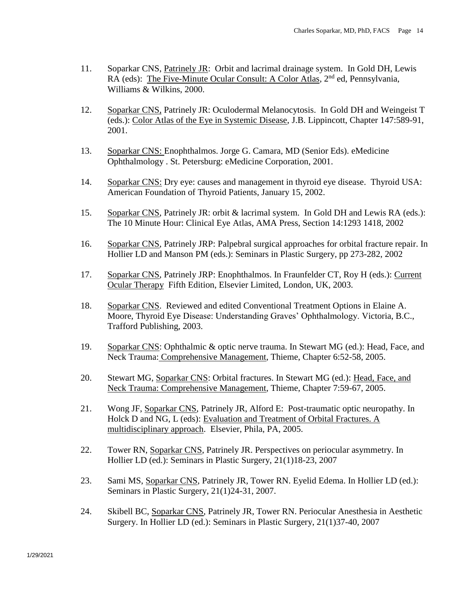- 11. Soparkar CNS, Patrinely JR: Orbit and lacrimal drainage system. In Gold DH, Lewis  $RA$  (eds): The Five-Minute Ocular Consult: A Color Atlas,  $2<sup>nd</sup>$  ed, Pennsylvania, Williams & Wilkins, 2000.
- 12. Soparkar CNS, Patrinely JR: Oculodermal Melanocytosis. In Gold DH and Weingeist T (eds.): Color Atlas of the Eye in Systemic Disease, J.B. Lippincott, Chapter 147:589-91, 2001.
- 13. Soparkar CNS: Enophthalmos. Jorge G. Camara, MD (Senior Eds). eMedicine Ophthalmology . St. Petersburg: eMedicine Corporation, 2001.
- 14. Soparkar CNS: Dry eye: causes and management in thyroid eye disease. Thyroid USA: American Foundation of Thyroid Patients, January 15, 2002.
- 15. Soparkar CNS, Patrinely JR: orbit & lacrimal system. In Gold DH and Lewis RA (eds.): The 10 Minute Hour: Clinical Eye Atlas, AMA Press, Section 14:1293 1418, 2002
- 16. Soparkar CNS, Patrinely JRP: Palpebral surgical approaches for orbital fracture repair. In Hollier LD and Manson PM (eds.): Seminars in Plastic Surgery, pp 273-282, 2002
- 17. Soparkar CNS, Patrinely JRP: Enophthalmos. In Fraunfelder CT, Roy H (eds.): Current Ocular Therapy Fifth Edition, Elsevier Limited, London, UK, 2003.
- 18. Soparkar CNS. Reviewed and edited Conventional Treatment Options in Elaine A. Moore, Thyroid Eye Disease: Understanding Graves' Ophthalmology. Victoria, B.C., Trafford Publishing, 2003.
- 19. Soparkar CNS: Ophthalmic & optic nerve trauma. In Stewart MG (ed.): Head, Face, and Neck Trauma: Comprehensive Management, Thieme, Chapter 6:52-58, 2005.
- 20. Stewart MG, Soparkar CNS: Orbital fractures. In Stewart MG (ed.): Head, Face, and Neck Trauma: Comprehensive Management, Thieme, Chapter 7:59-67, 2005.
- 21. Wong JF, Soparkar CNS, Patrinely JR, Alford E: Post-traumatic optic neuropathy. In Holck D and NG, L (eds): Evaluation and Treatment of Orbital Fractures. A multidisciplinary approach. Elsevier, Phila, PA, 2005.
- 22. Tower RN, Soparkar CNS, Patrinely JR. Perspectives on periocular asymmetry. In Hollier LD (ed.): Seminars in Plastic Surgery, 21(1)18-23, 2007
- 23. Sami MS, Soparkar CNS, Patrinely JR, Tower RN. Eyelid Edema. In Hollier LD (ed.): Seminars in Plastic Surgery, 21(1)24-31, 2007.
- 24. Skibell BC, Soparkar CNS, Patrinely JR, Tower RN. Periocular Anesthesia in Aesthetic Surgery. In Hollier LD (ed.): Seminars in Plastic Surgery, 21(1)37-40, 2007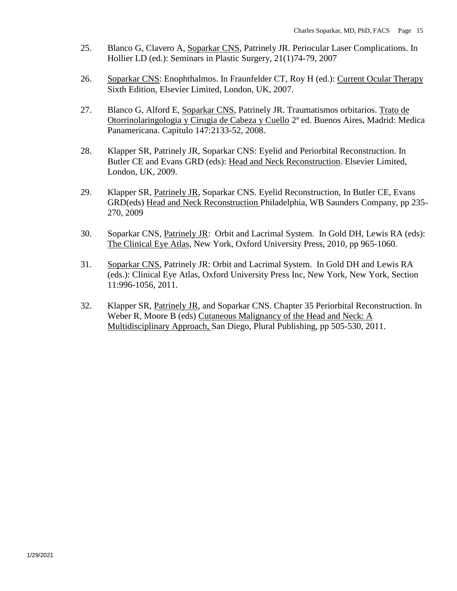- 25. Blanco G, Clavero A, Soparkar CNS, Patrinely JR. Periocular Laser Complications. In Hollier LD (ed.): Seminars in Plastic Surgery, 21(1)74-79, 2007
- 26. Soparkar CNS: Enophthalmos. In Fraunfelder CT, Roy H (ed.): Current Ocular Therapy Sixth Edition, Elsevier Limited, London, UK, 2007.
- 27. Blanco G, Alford E, Soparkar CNS, Patrinely JR. Traumatismos orbitarios. Trato de Otorrinolaringologia y Cirugia de Cabeza y Cuello 2ª ed. Buenos Aires, Madrid: Medica Panamericana. Capitulo 147:2133-52, 2008.
- 28. Klapper SR, Patrinely JR, Soparkar CNS: Eyelid and Periorbital Reconstruction. In Butler CE and Evans GRD (eds): Head and Neck Reconstruction. Elsevier Limited, London, UK, 2009.
- 29. Klapper SR, Patrinely JR, Soparkar CNS. Eyelid Reconstruction, In Butler CE, Evans GRD(eds) Head and Neck Reconstruction Philadelphia, WB Saunders Company, pp 235- 270, 2009
- 30. Soparkar CNS, Patrinely JR: Orbit and Lacrimal System. In Gold DH, Lewis RA (eds): The Clinical Eye Atlas, New York, Oxford University Press, 2010, pp 965-1060.
- 31. Soparkar CNS, Patrinely JR: Orbit and Lacrimal System. In Gold DH and Lewis RA (eds.): Clinical Eye Atlas, Oxford University Press Inc, New York, New York, Section 11:996-1056, 2011.
- 32. Klapper SR, Patrinely JR, and Soparkar CNS. Chapter 35 Periorbital Reconstruction. In Weber R, Moore B (eds) Cutaneous Malignancy of the Head and Neck: A Multidisciplinary Approach, San Diego, Plural Publishing, pp 505-530, 2011.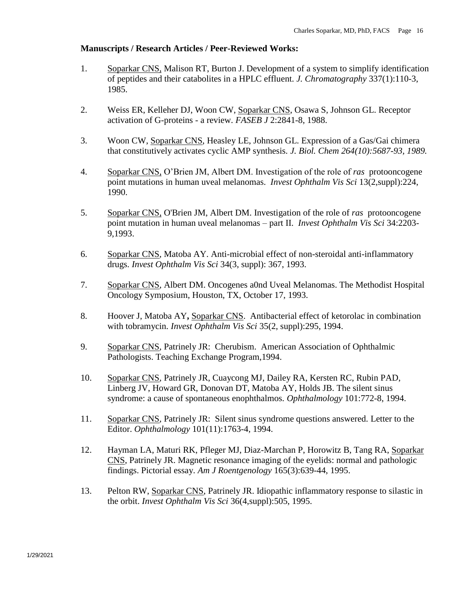### **Manuscripts / Research Articles / Peer-Reviewed Works:**

- 1. Soparkar CNS, Malison RT, Burton J. Development of a system to simplify identification of peptides and their catabolites in a HPLC effluent. *J. Chromatography* 337(1):110-3, 1985.
- 2. Weiss ER, Kelleher DJ, Woon CW, Soparkar CNS, Osawa S, Johnson GL. Receptor activation of G-proteins - a review. *FASEB J* 2:2841-8, 1988.
- 3. Woon CW, Soparkar CNS, Heasley LE, Johnson GL. Expression of a Gas/Gai chimera that constitutively activates cyclic AMP synthesis. *J. Biol. Chem 264(10):5687-93, 1989.*
- 4. Soparkar CNS, O'Brien JM, Albert DM. Investigation of the role of *ras* protooncogene point mutations in human uveal melanomas. *Invest Ophthalm Vis Sci* 13(2,suppl):224, 1990.
- 5. Soparkar CNS, O'Brien JM, Albert DM. Investigation of the role of *ras* protooncogene point mutation in human uveal melanomas – part II. *Invest Ophthalm Vis Sci* 34:2203- 9,1993.
- 6. Soparkar CNS, Matoba AY. Anti-microbial effect of non-steroidal anti-inflammatory drugs. *Invest Ophthalm Vis Sci* 34(3, suppl): 367, 1993.
- 7. Soparkar CNS, Albert DM. Oncogenes a0nd Uveal Melanomas. The Methodist Hospital Oncology Symposium, Houston, TX, October 17, 1993.
- 8. Hoover J, Matoba AY**,** Soparkar CNS. Antibacterial effect of ketorolac in combination with tobramycin. *Invest Ophthalm Vis Sci* 35(2, suppl):295, 1994.
- 9. Soparkar CNS, Patrinely JR: Cherubism. American Association of Ophthalmic Pathologists. Teaching Exchange Program,1994.
- 10. Soparkar CNS, Patrinely JR, Cuaycong MJ, Dailey RA, Kersten RC, Rubin PAD, Linberg JV, Howard GR, Donovan DT, Matoba AY, Holds JB. The silent sinus syndrome: a cause of spontaneous enophthalmos. *Ophthalmology* 101:772-8, 1994.
- 11. Soparkar CNS, Patrinely JR: Silent sinus syndrome questions answered. Letter to the Editor. *Ophthalmology* 101(11):1763-4, 1994.
- 12. Hayman LA, Maturi RK, Pfleger MJ, Diaz-Marchan P, Horowitz B, Tang RA, Soparkar CNS, Patrinely JR. Magnetic resonance imaging of the eyelids: normal and pathologic findings. Pictorial essay. *Am J Roentgenology* 165(3):639-44, 1995.
- 13. Pelton RW, Soparkar CNS, Patrinely JR. Idiopathic inflammatory response to silastic in the orbit. *Invest Ophthalm Vis Sci* 36(4,suppl):505, 1995.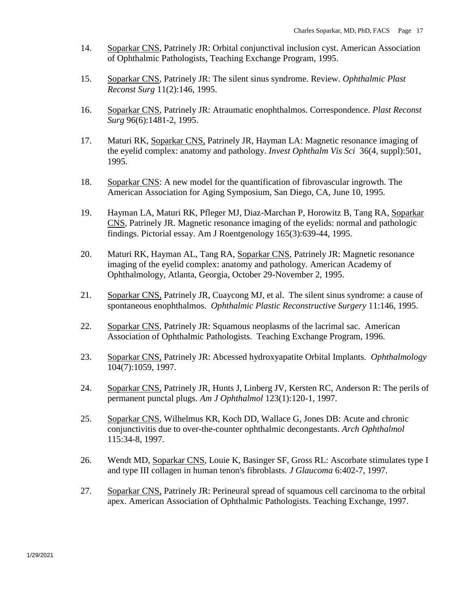- 14. Soparkar CNS, Patrinely JR: Orbital conjunctival inclusion cyst. American Association of Ophthalmic Pathologists, Teaching Exchange Program, 1995.
- 15. Soparkar CNS, Patrinely JR: The silent sinus syndrome. Review. *Ophthalmic Plast Reconst Surg* 11(2):146, 1995.
- 16. Soparkar CNS, Patrinely JR: Atraumatic enophthalmos. Correspondence. *Plast Reconst Surg* 96(6):1481-2, 1995.
- 17. Maturi RK, Soparkar CNS, Patrinely JR, Hayman LA: Magnetic resonance imaging of the eyelid complex: anatomy and pathology. *Invest Ophthalm Vis Sci* 36(4, suppl):501, 1995.
- 18. Soparkar CNS: A new model for the quantification of fibrovascular ingrowth. The American Association for Aging Symposium, San Diego, CA, June 10, 1995.
- 19. Hayman LA, Maturi RK, Pfleger MJ, Diaz-Marchan P, Horowitz B, Tang RA, Soparkar CNS, Patrinely JR. Magnetic resonance imaging of the eyelids: normal and pathologic findings. Pictorial essay. Am J Roentgenology 165(3):639-44, 1995.
- 20. Maturi RK, Hayman AL, Tang RA, Soparkar CNS, Patrinely JR: Magnetic resonance imaging of the eyelid complex: anatomy and pathology. American Academy of Ophthalmology, Atlanta, Georgia, October 29-November 2, 1995.
- 21. Soparkar CNS, Patrinely JR, Cuaycong MJ, et al. The silent sinus syndrome: a cause of spontaneous enophthalmos. *Ophthalmic Plastic Reconstructive Surgery* 11:146, 1995.
- 22. Soparkar CNS, Patrinely JR: Squamous neoplasms of the lacrimal sac. American Association of Ophthalmic Pathologists. Teaching Exchange Program, 1996.
- 23. Soparkar CNS, Patrinely JR: Abcessed hydroxyapatite Orbital Implants. *Ophthalmology* 104(7):1059, 1997.
- 24. Soparkar CNS, Patrinely JR, Hunts J, Linberg JV, Kersten RC, Anderson R: The perils of permanent punctal plugs. *Am J Ophthalmol* 123(1):120-1, 1997.
- 25. Soparkar CNS, Wilhelmus KR, Koch DD, Wallace G, Jones DB: Acute and chronic conjunctivitis due to over-the-counter ophthalmic decongestants. *Arch Ophthalmol* 115:34-8, 1997.
- 26. Wendt MD, Soparkar CNS, Louie K, Basinger SF, Gross RL: Ascorbate stimulates type I and type III collagen in human tenon's fibroblasts. *J Glaucoma* 6:402-7, 1997.
- 27. Soparkar CNS, Patrinely JR: Perineural spread of squamous cell carcinoma to the orbital apex. American Association of Ophthalmic Pathologists. Teaching Exchange, 1997.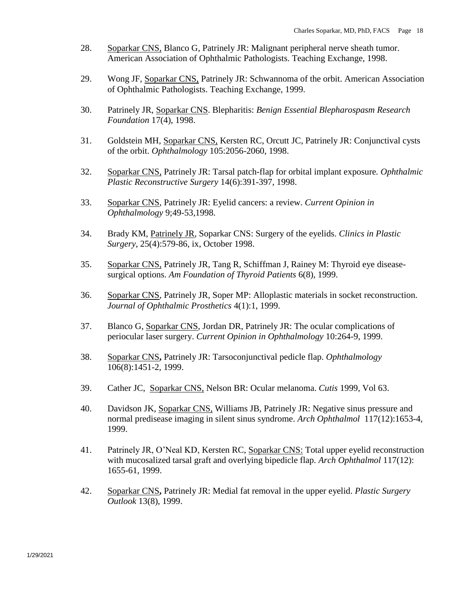- 28. Soparkar CNS, Blanco G, Patrinely JR: Malignant peripheral nerve sheath tumor. American Association of Ophthalmic Pathologists. Teaching Exchange, 1998.
- 29. Wong JF, Soparkar CNS, Patrinely JR: Schwannoma of the orbit. American Association of Ophthalmic Pathologists. Teaching Exchange, 1999.
- 30. Patrinely JR, Soparkar CNS. Blepharitis: *Benign Essential Blepharospasm Research Foundation* 17(4), 1998.
- 31. Goldstein MH, Soparkar CNS, Kersten RC, Orcutt JC, Patrinely JR: Conjunctival cysts of the orbit. *Ophthalmology* 105:2056-2060, 1998.
- 32. Soparkar CNS, Patrinely JR: Tarsal patch-flap for orbital implant exposure*. Ophthalmic Plastic Reconstructive Surgery* 14(6):391-397, 1998.
- 33. Soparkar CNS, Patrinely JR: Eyelid cancers: a review. *Current Opinion in Ophthalmology* 9;49-53,1998.
- 34. Brady KM, Patrinely JR*,* Soparkar CNS: Surgery of the eyelids. *Clinics in Plastic Surgery*, 25(4):579-86, ix, October 1998.
- 35. Soparkar CNS, Patrinely JR, Tang R, Schiffman J, Rainey M: Thyroid eye diseasesurgical options. *Am Foundation of Thyroid Patients* 6(8), 1999.
- 36. Soparkar CNS, Patrinely JR, Soper MP: Alloplastic materials in socket reconstruction. *Journal of Ophthalmic Prosthetics* 4(1):1, 1999.
- 37. Blanco G, Soparkar CNS, Jordan DR, Patrinely JR: The ocular complications of periocular laser surgery. *Current Opinion in Ophthalmology* 10:264-9, 1999.
- 38. Soparkar CNS**,** Patrinely JR: Tarsoconjunctival pedicle flap. *Ophthalmology* 106(8):1451-2, 1999.
- 39. Cather JC, Soparkar CNS, Nelson BR: Ocular melanoma. *Cutis* 1999, Vol 63.
- 40. Davidson JK, Soparkar CNS, Williams JB, Patrinely JR: Negative sinus pressure and normal predisease imaging in silent sinus syndrome. *Arch Ophthalmol* 117(12):1653-4, 1999.
- 41. Patrinely JR, O'Neal KD, Kersten RC, Soparkar CNS: Total upper eyelid reconstruction with mucosalized tarsal graft and overlying bipedicle flap. *Arch Ophthalmol* 117(12): 1655-61, 1999.
- 42. Soparkar CNS**,** Patrinely JR: Medial fat removal in the upper eyelid. *Plastic Surgery Outlook* 13(8), 1999.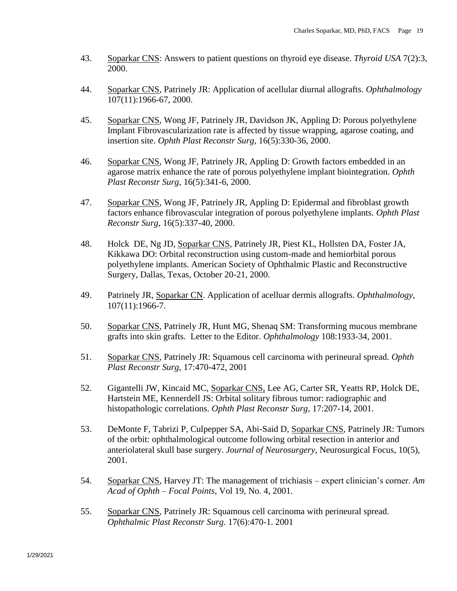- 43. Soparkar CNS: Answers to patient questions on thyroid eye disease. *Thyroid USA* 7(2):3, 2000.
- 44. Soparkar CNS, Patrinely JR: Application of acellular diurnal allografts. *Ophthalmology* 107(11):1966-67, 2000.
- 45. Soparkar CNS, Wong JF, Patrinely JR, Davidson JK, Appling D: Porous polyethylene Implant Fibrovascularization rate is affected by tissue wrapping, agarose coating, and insertion site. *Ophth Plast Reconstr Surg*, 16(5):330-36, 2000.
- 46. Soparkar CNS, Wong JF, Patrinely JR, Appling D: Growth factors embedded in an agarose matrix enhance the rate of porous polyethylene implant biointegration. *Ophth Plast Reconstr Surg*, 16(5):341-6, 2000.
- 47. Soparkar CNS, Wong JF, Patrinely JR, Appling D: Epidermal and fibroblast growth factors enhance fibrovascular integration of porous polyethylene implants. *Ophth Plast Reconstr Surg*, 16(5):337-40, 2000.
- 48. Holck DE, Ng JD, Soparkar CNS, Patrinely JR, Piest KL, Hollsten DA, Foster JA, Kikkawa DO: Orbital reconstruction using custom-made and hemiorbital porous polyethylene implants. American Society of Ophthalmic Plastic and Reconstructive Surgery, Dallas, Texas, October 20-21, 2000.
- 49. Patrinely JR, Soparkar CN. Application of acelluar dermis allografts. *Ophthalmology*, 107(11):1966-7.
- 50. Soparkar CNS, Patrinely JR, Hunt MG, Shenaq SM: Transforming mucous membrane grafts into skin grafts. Letter to the Editor. *Ophthalmology* 108:1933-34, 2001.
- 51. Soparkar CNS, Patrinely JR: Squamous cell carcinoma with perineural spread. *Ophth Plast Reconstr Surg,* 17:470-472, 2001
- 52. Gigantelli JW, Kincaid MC, Soparkar CNS, Lee AG, Carter SR, Yeatts RP, Holck DE, Hartstein ME, Kennerdell JS: Orbital solitary fibrous tumor: radiographic and histopathologic correlations. *Ophth Plast Reconstr Surg*, 17:207-14, 2001.
- 53. DeMonte F, Tabrizi P, Culpepper SA, Abi-Said D, Soparkar CNS, Patrinely JR: Tumors of the orbit: ophthalmological outcome following orbital resection in anterior and anteriolateral skull base surgery. *Journal of Neurosurgery*, Neurosurgical Focus, 10(5), 2001.
- 54. Soparkar CNS, Harvey JT: The management of trichiasis expert clinician's corner. *Am Acad of Ophth – Focal Points*, Vol 19, No. 4, 2001.
- 55. Soparkar CNS, Patrinely JR: Squamous cell carcinoma with perineural spread. *Ophthalmic Plast Reconstr Surg*. 17(6):470-1. 2001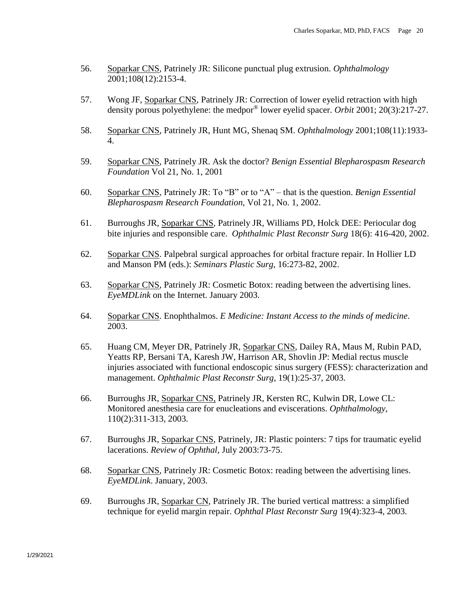- 56. Soparkar CNS, Patrinely JR: Silicone punctual plug extrusion. *Ophthalmology* 2001;108(12):2153-4.
- 57. Wong JF, Soparkar CNS, Patrinely JR: Correction of lower eyelid retraction with high density porous polyethylene: the medpor® lower eyelid spacer. *Orbit* 2001; 20(3):217-27.
- 58. Soparkar CNS, Patrinely JR, Hunt MG, Shenaq SM. *Ophthalmology* 2001;108(11):1933- 4.
- 59. Soparkar CNS, Patrinely JR. Ask the doctor? *Benign Essential Blepharospasm Research Foundation* Vol 21, No. 1, 2001
- 60. Soparkar CNS, Patrinely JR: To "B" or to "A" that is the question. *Benign Essential Blepharospasm Research Foundation*, Vol 21, No. 1, 2002.
- 61. Burroughs JR, Soparkar CNS, Patrinely JR, Williams PD, Holck DEE: Periocular dog bite injuries and responsible care. *Ophthalmic Plast Reconstr Surg* 18(6): 416-420, 2002.
- 62. Soparkar CNS. Palpebral surgical approaches for orbital fracture repair. In Hollier LD and Manson PM (eds.): *Seminars Plastic Surg*, 16:273-82, 2002.
- 63. Soparkar CNS, Patrinely JR: Cosmetic Botox: reading between the advertising lines. *EyeMDLink* on the Internet. January 2003.
- 64. Soparkar CNS. Enophthalmos. *E Medicine: Instant Access to the minds of medicine*. 2003.
- 65. Huang CM, Meyer DR, Patrinely JR, Soparkar CNS, Dailey RA, Maus M, Rubin PAD, Yeatts RP, Bersani TA, Karesh JW, Harrison AR, Shovlin JP: Medial rectus muscle injuries associated with functional endoscopic sinus surgery (FESS): characterization and management. *Ophthalmic Plast Reconstr Surg*, 19(1):25-37, 2003.
- 66. Burroughs JR, Soparkar CNS, Patrinely JR, Kersten RC, Kulwin DR, Lowe CL: Monitored anesthesia care for enucleations and eviscerations. *Ophthalmology*, 110(2):311-313, 2003.
- 67. Burroughs JR, Soparkar CNS, Patrinely, JR: Plastic pointers: 7 tips for traumatic eyelid lacerations. *Review of Ophthal,* July 2003:73-75.
- 68. Soparkar CNS, Patrinely JR: Cosmetic Botox: reading between the advertising lines. *EyeMDLink*. January, 2003.
- 69. Burroughs JR, Soparkar CN, Patrinely JR. The buried vertical mattress: a simplified technique for eyelid margin repair. *Ophthal Plast Reconstr Surg* 19(4):323-4, 2003.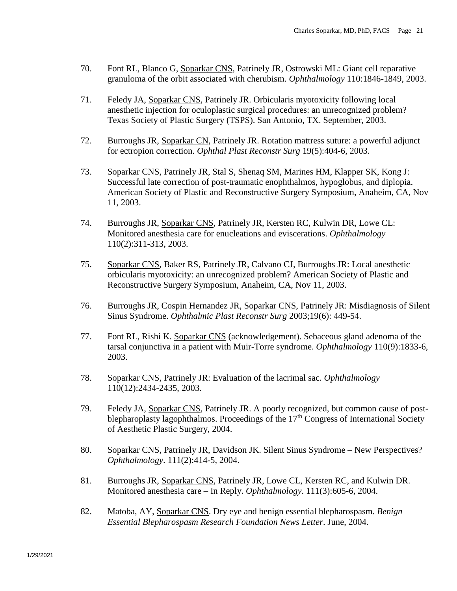- 70. Font RL, Blanco G, Soparkar CNS, Patrinely JR, Ostrowski ML: Giant cell reparative granuloma of the orbit associated with cherubism. *Ophthalmology* 110:1846-1849, 2003.
- 71. Feledy JA, Soparkar CNS, Patrinely JR. Orbicularis myotoxicity following local anesthetic injection for oculoplastic surgical procedures: an unrecognized problem? Texas Society of Plastic Surgery (TSPS). San Antonio, TX. September, 2003.
- 72. Burroughs JR, Soparkar CN, Patrinely JR. Rotation mattress suture: a powerful adjunct for ectropion correction. *Ophthal Plast Reconstr Surg* 19(5):404-6, 2003.
- 73. Soparkar CNS, Patrinely JR, Stal S, Shenaq SM, Marines HM, Klapper SK, Kong J: Successful late correction of post-traumatic enophthalmos, hypoglobus, and diplopia. American Society of Plastic and Reconstructive Surgery Symposium, Anaheim, CA, Nov 11, 2003.
- 74. Burroughs JR, Soparkar CNS, Patrinely JR, Kersten RC, Kulwin DR, Lowe CL: Monitored anesthesia care for enucleations and eviscerations. *Ophthalmology* 110(2):311-313, 2003.
- 75. Soparkar CNS, Baker RS, Patrinely JR, Calvano CJ, Burroughs JR: Local anesthetic orbicularis myotoxicity: an unrecognized problem? American Society of Plastic and Reconstructive Surgery Symposium, Anaheim, CA, Nov 11, 2003.
- 76. Burroughs JR, Cospin Hernandez JR, Soparkar CNS, Patrinely JR: Misdiagnosis of Silent Sinus Syndrome. *Ophthalmic Plast Reconstr Surg* 2003;19(6): 449-54.
- 77. Font RL, Rishi K. Soparkar CNS (acknowledgement). Sebaceous gland adenoma of the tarsal conjunctiva in a patient with Muir-Torre syndrome. *Ophthalmology* 110(9):1833-6, 2003.
- 78. Soparkar CNS, Patrinely JR: Evaluation of the lacrimal sac. *Ophthalmology* 110(12):2434-2435, 2003.
- 79. Feledy JA, Soparkar CNS, Patrinely JR. A poorly recognized, but common cause of postblepharoplasty lagophthalmos. Proceedings of the  $17<sup>th</sup>$  Congress of International Society of Aesthetic Plastic Surgery, 2004.
- 80. Soparkar CNS, Patrinely JR, Davidson JK. Silent Sinus Syndrome New Perspectives? *Ophthalmology*. 111(2):414-5, 2004.
- 81. Burroughs JR, Soparkar CNS, Patrinely JR, Lowe CL, Kersten RC, and Kulwin DR. Monitored anesthesia care – In Reply. *Ophthalmology*. 111(3):605-6, 2004.
- 82. Matoba, AY, Soparkar CNS. Dry eye and benign essential blepharospasm. *Benign Essential Blepharospasm Research Foundation News Letter*. June, 2004.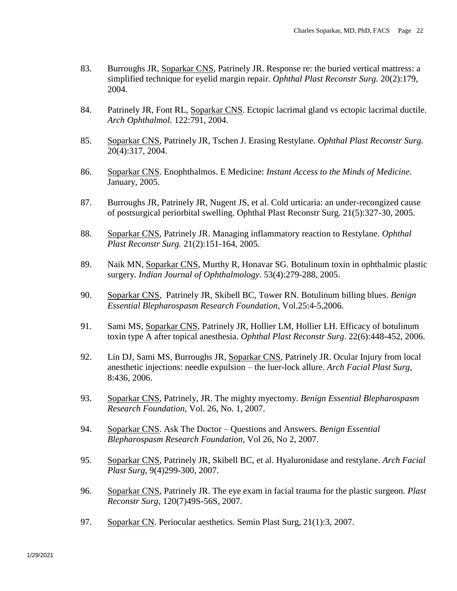- 83. Burroughs JR, Soparkar CNS, Patrinely JR. Response re: the buried vertical mattress: a simplified technique for eyelid margin repair. *Ophthal Plast Reconstr Surg.* 20(2):179, 2004.
- 84. Patrinely JR, Font RL, Soparkar CNS. Ectopic lacrimal gland vs ectopic lacrimal ductile. *Arch Ophthalmol*. 122:791, 2004.
- 85. Soparkar CNS, Patrinely JR, Tschen J. Erasing Restylane. *Ophthal Plast Reconstr Surg.* 20(4):317, 2004.
- 86. Soparkar CNS. Enophthalmos. E Medicine: *Instant Access to the Minds of Medicine*. January, 2005.
- 87. Burroughs JR, Patrinely JR, Nugent JS, et al. Cold urticaria: an under-recongized cause of postsurgical periorbital swelling. Ophthal Plast Reconstr Surg. 21(5):327-30, 2005.
- 88. Soparkar CNS, Patrinely JR. Managing inflammatory reaction to Restylane. *Ophthal Plast Reconstr Surg.* 21(2):151-164, 2005.
- 89. Naik MN, Soparkar CNS, Murthy R, Honavar SG. Botulinum toxin in ophthalmic plastic surgery. *Indian Journal of Ophthalmology*. 53(4):279-288, 2005.
- 90. Soparkar CNS, Patrinely JR, Skibell BC, Tower RN. Botulinum billing blues. *Benign Essential Blepharospasm Research Foundation*, Vol.25:4-5,2006.
- 91. Sami MS, Soparkar CNS, Patrinely JR, Hollier LM, Hollier LH. Efficacy of botulinum toxin type A after topical anesthesia. *Ophthal Plast Reconstr Surg*. 22(6):448-452, 2006.
- 92. Lin DJ, Sami MS, Burroughs JR, Soparkar CNS, Patrinely JR. Ocular Injury from local anesthetic injections: needle expulsion – the luer-lock allure. *Arch Facial Plast Surg*, 8:436, 2006.
- 93. Soparkar CNS, Patrinely, JR. The mighty myectomy. *Benign Essential Blepharospasm Research Foundation*, Vol. 26, No. 1, 2007.
- 94. Soparkar CNS. Ask The Doctor Questions and Answers. *Benign Essential Blepharospasm Research Foundation*, Vol 26, No 2, 2007.
- 95. Soparkar CNS, Patrinely JR, Skibell BC, et al. Hyaluronidase and restylane. *Arch Facial Plast Surg*, 9(4)299-300, 2007.
- 96. Soparkar CNS, Patrinely JR. The eye exam in facial trauma for the plastic surgeon. *Plast Reconstr Surg*, 120(7)49S-56S, 2007.
- 97. Soparkar CN. Periocular aesthetics. Semin Plast Surg, 21(1):3, 2007.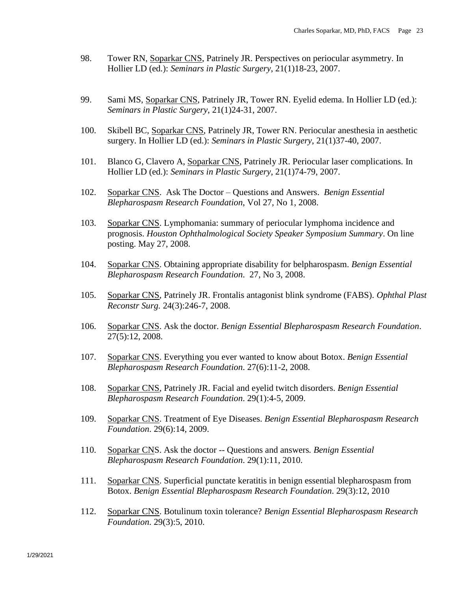- 98. Tower RN, Soparkar CNS, Patrinely JR. Perspectives on periocular asymmetry. In Hollier LD (ed.): *Seminars in Plastic Surgery*, 21(1)18-23, 2007.
- 99. Sami MS, Soparkar CNS, Patrinely JR, Tower RN. Eyelid edema. In Hollier LD (ed.): *Seminars in Plastic Surgery*, 21(1)24-31, 2007.
- 100. Skibell BC, Soparkar CNS, Patrinely JR, Tower RN. Periocular anesthesia in aesthetic surgery. In Hollier LD (ed.): *Seminars in Plastic Surgery*, 21(1)37-40, 2007.
- 101. Blanco G, Clavero A, Soparkar CNS, Patrinely JR. Periocular laser complications. In Hollier LD (ed.): *Seminars in Plastic Surgery*, 21(1)74-79, 2007.
- 102. Soparkar CNS. Ask The Doctor Questions and Answers. *Benign Essential Blepharospasm Research Foundation*, Vol 27, No 1, 2008.
- 103. Soparkar CNS. Lymphomania: summary of periocular lymphoma incidence and prognosis. *Houston Ophthalmological Society Speaker Symposium Summary*. On line posting. May 27, 2008.
- 104. Soparkar CNS. Obtaining appropriate disability for belpharospasm. *Benign Essential Blepharospasm Research Foundation*. 27, No 3, 2008.
- 105. Soparkar CNS, Patrinely JR. Frontalis antagonist blink syndrome (FABS). *Ophthal Plast Reconstr Surg.* 24(3):246-7, 2008.
- 106. Soparkar CNS. Ask the doctor. *Benign Essential Blepharospasm Research Foundation*. 27(5):12, 2008.
- 107. Soparkar CNS. Everything you ever wanted to know about Botox. *Benign Essential Blepharospasm Research Foundation*. 27(6):11-2, 2008.
- 108. Soparkar CNS, Patrinely JR. Facial and eyelid twitch disorders. *Benign Essential Blepharospasm Research Foundation*. 29(1):4-5, 2009.
- 109. Soparkar CNS. Treatment of Eye Diseases. *Benign Essential Blepharospasm Research Foundation*. 29(6):14, 2009.
- 110. Soparkar CNS. Ask the doctor -- Questions and answers*. Benign Essential Blepharospasm Research Foundation*. 29(1):11, 2010.
- 111. Soparkar CNS. Superficial punctate keratitis in benign essential blepharospasm from Botox. *Benign Essential Blepharospasm Research Foundation*. 29(3):12, 2010
- 112. Soparkar CNS. Botulinum toxin tolerance? *Benign Essential Blepharospasm Research Foundation*. 29(3):5, 2010.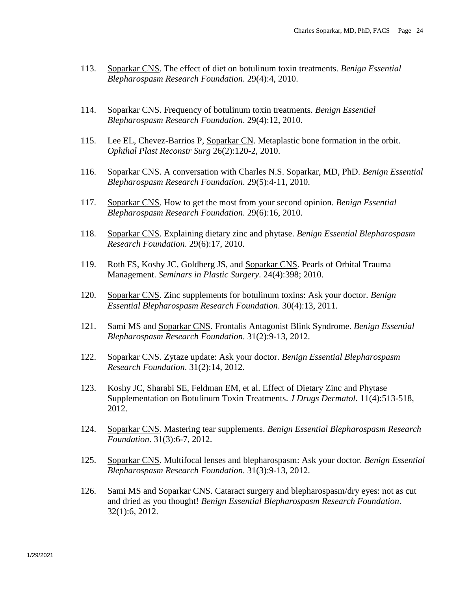- 113. Soparkar CNS. The effect of diet on botulinum toxin treatments. *Benign Essential Blepharospasm Research Foundation*. 29(4):4, 2010.
- 114. Soparkar CNS. Frequency of botulinum toxin treatments. *Benign Essential Blepharospasm Research Foundation*. 29(4):12, 2010.
- 115. Lee EL, Chevez-Barrios P, Soparkar CN. Metaplastic bone formation in the orbit. *Ophthal Plast Reconstr Surg* 26(2):120-2, 2010.
- 116. Soparkar CNS. A conversation with Charles N.S. Soparkar, MD, PhD. *Benign Essential Blepharospasm Research Foundation*. 29(5):4-11, 2010.
- 117. Soparkar CNS. How to get the most from your second opinion. *Benign Essential Blepharospasm Research Foundation*. 29(6):16, 2010.
- 118. Soparkar CNS. Explaining dietary zinc and phytase. *Benign Essential Blepharospasm Research Foundation*. 29(6):17, 2010.
- 119. Roth FS, Koshy JC, Goldberg JS, and Soparkar CNS. Pearls of Orbital Trauma Management. *Seminars in Plastic Surgery*. 24(4):398; 2010.
- 120. Soparkar CNS. Zinc supplements for botulinum toxins: Ask your doctor. *Benign Essential Blepharospasm Research Foundation*. 30(4):13, 2011.
- 121. Sami MS and Soparkar CNS. Frontalis Antagonist Blink Syndrome. *Benign Essential Blepharospasm Research Foundation*. 31(2):9-13, 2012.
- 122. Soparkar CNS. Zytaze update: Ask your doctor. *Benign Essential Blepharospasm Research Foundation*. 31(2):14, 2012.
- 123. Koshy JC, Sharabi SE, Feldman EM, et al. Effect of Dietary Zinc and Phytase Supplementation on Botulinum Toxin Treatments. *J Drugs Dermatol*. 11(4):513-518, 2012.
- 124. Soparkar CNS. Mastering tear supplements. *Benign Essential Blepharospasm Research Foundation*. 31(3):6-7, 2012.
- 125. Soparkar CNS. Multifocal lenses and blepharospasm: Ask your doctor. *Benign Essential Blepharospasm Research Foundation*. 31(3):9-13, 2012.
- 126. Sami MS and Soparkar CNS. Cataract surgery and blepharospasm/dry eyes: not as cut and dried as you thought! *Benign Essential Blepharospasm Research Foundation*. 32(1):6, 2012.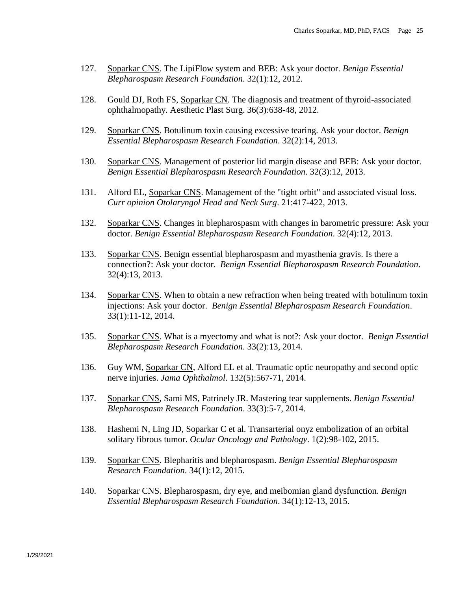- 127. Soparkar CNS. The LipiFlow system and BEB: Ask your doctor. *Benign Essential Blepharospasm Research Foundation*. 32(1):12, 2012.
- 128. Gould DJ, Roth FS, Soparkar CN. The diagnosis and treatment of thyroid-associated ophthalmopathy. Aesthetic Plast Surg. 36(3):638-48, 2012.
- 129. Soparkar CNS. Botulinum toxin causing excessive tearing. Ask your doctor. *Benign Essential Blepharospasm Research Foundation*. 32(2):14, 2013.
- 130. Soparkar CNS. Management of posterior lid margin disease and BEB: Ask your doctor. *Benign Essential Blepharospasm Research Foundation*. 32(3):12, 2013.
- 131. Alford EL, Soparkar CNS. Management of the "tight orbit" and associated visual loss. *Curr opinion Otolaryngol Head and Neck Surg*. 21:417-422, 2013.
- 132. Soparkar CNS. Changes in blepharospasm with changes in barometric pressure: Ask your doctor. *Benign Essential Blepharospasm Research Foundation*. 32(4):12, 2013.
- 133. Soparkar CNS. Benign essential blepharospasm and myasthenia gravis. Is there a connection?: Ask your doctor. *Benign Essential Blepharospasm Research Foundation*. 32(4):13, 2013.
- 134. Soparkar CNS. When to obtain a new refraction when being treated with botulinum toxin injections: Ask your doctor. *Benign Essential Blepharospasm Research Foundation*. 33(1):11-12, 2014.
- 135. Soparkar CNS. What is a myectomy and what is not?: Ask your doctor. *Benign Essential Blepharospasm Research Foundation*. 33(2):13, 2014.
- 136. Guy WM, Soparkar CN, Alford EL et al. Traumatic optic neuropathy and second optic nerve injuries. *Jama Ophthalmol*. 132(5):567-71, 2014.
- 137. Soparkar CNS, Sami MS, Patrinely JR. Mastering tear supplements. *Benign Essential Blepharospasm Research Foundation*. 33(3):5-7, 2014.
- 138. Hashemi N, Ling JD, Soparkar C et al. Transarterial onyz embolization of an orbital solitary fibrous tumor. *Ocular Oncology and Pathology*. 1(2):98-102, 2015.
- 139. Soparkar CNS. Blepharitis and blepharospasm. *Benign Essential Blepharospasm Research Foundation*. 34(1):12, 2015.
- 140. Soparkar CNS. Blepharospasm, dry eye, and meibomian gland dysfunction. *Benign Essential Blepharospasm Research Foundation*. 34(1):12-13, 2015.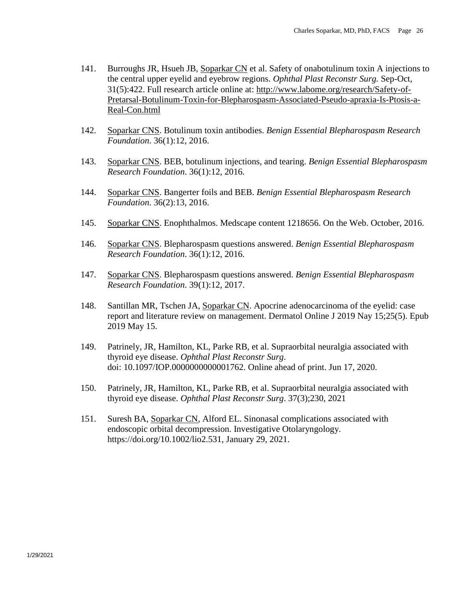- 141. Burroughs JR, Hsueh JB, Soparkar CN et al. Safety of onabotulinum toxin A injections to the central upper eyelid and eyebrow regions. *Ophthal Plast Reconstr Surg.* Sep-Oct, 31(5):422. Full research article online at: [http://www.labome.org/research/Safety-of-](http://www.labome.org/research/Safety-of-Pretarsal-Botulinum-Toxin-for-Blepharospasm-Associated-Pseudo-apraxia-Is-Ptosis-a-Real-Con.html)[Pretarsal-Botulinum-Toxin-for-Blepharospasm-Associated-Pseudo-apraxia-Is-Ptosis-a-](http://www.labome.org/research/Safety-of-Pretarsal-Botulinum-Toxin-for-Blepharospasm-Associated-Pseudo-apraxia-Is-Ptosis-a-Real-Con.html)[Real-Con.html](http://www.labome.org/research/Safety-of-Pretarsal-Botulinum-Toxin-for-Blepharospasm-Associated-Pseudo-apraxia-Is-Ptosis-a-Real-Con.html)
- 142. Soparkar CNS. Botulinum toxin antibodies. *Benign Essential Blepharospasm Research Foundation*. 36(1):12, 2016.
- 143. Soparkar CNS. BEB, botulinum injections, and tearing. *Benign Essential Blepharospasm Research Foundation*. 36(1):12, 2016.
- 144. Soparkar CNS. Bangerter foils and BEB. *Benign Essential Blepharospasm Research Foundation*. 36(2):13, 2016.
- 145. Soparkar CNS. Enophthalmos. Medscape content 1218656. On the Web. October, 2016.
- 146. Soparkar CNS. Blepharospasm questions answered. *Benign Essential Blepharospasm Research Foundation*. 36(1):12, 2016.
- 147. Soparkar CNS. Blepharospasm questions answered. *Benign Essential Blepharospasm Research Foundation*. 39(1):12, 2017.
- 148. Santillan MR, Tschen JA, Soparkar CN. Apocrine adenocarcinoma of the eyelid: case report and literature review on management. Dermatol Online J 2019 Nay 15;25(5). Epub 2019 May 15.
- 149. Patrinely, JR, Hamilton, KL, Parke RB, et al. Supraorbital neuralgia associated with thyroid eye disease. *Ophthal Plast Reconstr Surg*. doi: 10.1097/IOP.0000000000001762. Online ahead of print. Jun 17, 2020.
- 150. Patrinely, JR, Hamilton, KL, Parke RB, et al. Supraorbital neuralgia associated with thyroid eye disease. *Ophthal Plast Reconstr Surg*. 37(3);230, 2021
- 151. Suresh BA, Soparkar CN, Alford EL. Sinonasal complications associated with endoscopic orbital decompression. Investigative Otolaryngology. [https://doi.org/10.1002/lio2.531,](https://doi.org/10.1002/lio2.531) January 29, 2021.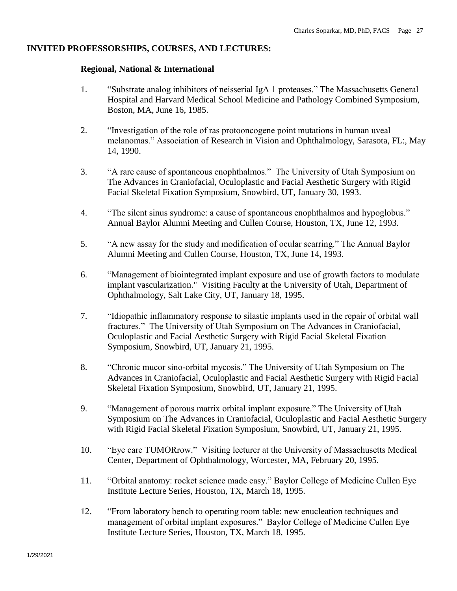### **INVITED PROFESSORSHIPS, COURSES, AND LECTURES:**

### **Regional, National & International**

- 1. "Substrate analog inhibitors of neisserial IgA 1 proteases." The Massachusetts General Hospital and Harvard Medical School Medicine and Pathology Combined Symposium, Boston, MA, June 16, 1985.
- 2. "Investigation of the role of ras protooncogene point mutations in human uveal melanomas." Association of Research in Vision and Ophthalmology, Sarasota, FL:, May 14, 1990.
- 3. "A rare cause of spontaneous enophthalmos." The University of Utah Symposium on The Advances in Craniofacial, Oculoplastic and Facial Aesthetic Surgery with Rigid Facial Skeletal Fixation Symposium, Snowbird, UT, January 30, 1993.
- 4. "The silent sinus syndrome: a cause of spontaneous enophthalmos and hypoglobus." Annual Baylor Alumni Meeting and Cullen Course, Houston, TX, June 12, 1993.
- 5. "A new assay for the study and modification of ocular scarring." The Annual Baylor Alumni Meeting and Cullen Course, Houston, TX, June 14, 1993.
- 6. "Management of biointegrated implant exposure and use of growth factors to modulate implant vascularization." Visiting Faculty at the University of Utah, Department of Ophthalmology, Salt Lake City, UT, January 18, 1995.
- 7. "Idiopathic inflammatory response to silastic implants used in the repair of orbital wall fractures." The University of Utah Symposium on The Advances in Craniofacial, Oculoplastic and Facial Aesthetic Surgery with Rigid Facial Skeletal Fixation Symposium, Snowbird, UT, January 21, 1995.
- 8. "Chronic mucor sino-orbital mycosis." The University of Utah Symposium on The Advances in Craniofacial, Oculoplastic and Facial Aesthetic Surgery with Rigid Facial Skeletal Fixation Symposium, Snowbird, UT, January 21, 1995.
- 9. "Management of porous matrix orbital implant exposure." The University of Utah Symposium on The Advances in Craniofacial, Oculoplastic and Facial Aesthetic Surgery with Rigid Facial Skeletal Fixation Symposium, Snowbird, UT, January 21, 1995.
- 10. "Eye care TUMORrow." Visiting lecturer at the University of Massachusetts Medical Center, Department of Ophthalmology, Worcester, MA, February 20, 1995.
- 11. "Orbital anatomy: rocket science made easy." Baylor College of Medicine Cullen Eye Institute Lecture Series, Houston, TX, March 18, 1995.
- 12. "From laboratory bench to operating room table: new enucleation techniques and management of orbital implant exposures." Baylor College of Medicine Cullen Eye Institute Lecture Series, Houston, TX, March 18, 1995.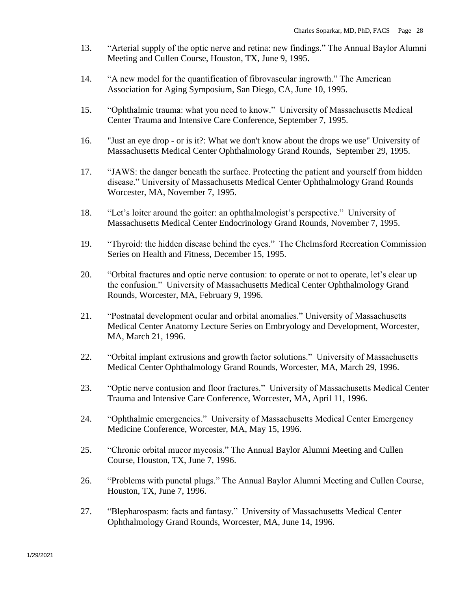- 13. "Arterial supply of the optic nerve and retina: new findings." The Annual Baylor Alumni Meeting and Cullen Course, Houston, TX, June 9, 1995.
- 14. "A new model for the quantification of fibrovascular ingrowth." The American Association for Aging Symposium, San Diego, CA, June 10, 1995.
- 15. "Ophthalmic trauma: what you need to know." University of Massachusetts Medical Center Trauma and Intensive Care Conference, September 7, 1995.
- 16. "Just an eye drop or is it?: What we don't know about the drops we use" University of Massachusetts Medical Center Ophthalmology Grand Rounds, September 29, 1995.
- 17. "JAWS: the danger beneath the surface. Protecting the patient and yourself from hidden disease." University of Massachusetts Medical Center Ophthalmology Grand Rounds Worcester, MA, November 7, 1995.
- 18. "Let's loiter around the goiter: an ophthalmologist's perspective." University of Massachusetts Medical Center Endocrinology Grand Rounds, November 7, 1995.
- 19. "Thyroid: the hidden disease behind the eyes." The Chelmsford Recreation Commission Series on Health and Fitness, December 15, 1995.
- 20. "Orbital fractures and optic nerve contusion: to operate or not to operate, let's clear up the confusion." University of Massachusetts Medical Center Ophthalmology Grand Rounds, Worcester, MA, February 9, 1996.
- 21. "Postnatal development ocular and orbital anomalies." University of Massachusetts Medical Center Anatomy Lecture Series on Embryology and Development, Worcester, MA, March 21, 1996.
- 22. "Orbital implant extrusions and growth factor solutions." University of Massachusetts Medical Center Ophthalmology Grand Rounds, Worcester, MA, March 29, 1996.
- 23. "Optic nerve contusion and floor fractures." University of Massachusetts Medical Center Trauma and Intensive Care Conference, Worcester, MA, April 11, 1996.
- 24. "Ophthalmic emergencies." University of Massachusetts Medical Center Emergency Medicine Conference, Worcester, MA, May 15, 1996.
- 25. "Chronic orbital mucor mycosis." The Annual Baylor Alumni Meeting and Cullen Course, Houston, TX, June 7, 1996.
- 26. "Problems with punctal plugs." The Annual Baylor Alumni Meeting and Cullen Course, Houston, TX, June 7, 1996.
- 27. "Blepharospasm: facts and fantasy." University of Massachusetts Medical Center Ophthalmology Grand Rounds, Worcester, MA, June 14, 1996.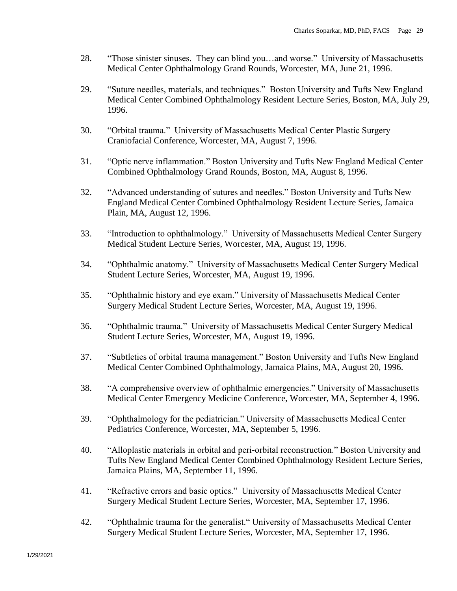- 28. "Those sinister sinuses. They can blind you…and worse." University of Massachusetts Medical Center Ophthalmology Grand Rounds, Worcester, MA, June 21, 1996.
- 29. "Suture needles, materials, and techniques." Boston University and Tufts New England Medical Center Combined Ophthalmology Resident Lecture Series, Boston, MA, July 29, 1996.
- 30. "Orbital trauma." University of Massachusetts Medical Center Plastic Surgery Craniofacial Conference, Worcester, MA, August 7, 1996.
- 31. "Optic nerve inflammation." Boston University and Tufts New England Medical Center Combined Ophthalmology Grand Rounds, Boston, MA, August 8, 1996.
- 32. "Advanced understanding of sutures and needles." Boston University and Tufts New England Medical Center Combined Ophthalmology Resident Lecture Series, Jamaica Plain, MA, August 12, 1996.
- 33. "Introduction to ophthalmology." University of Massachusetts Medical Center Surgery Medical Student Lecture Series, Worcester, MA, August 19, 1996.
- 34. "Ophthalmic anatomy." University of Massachusetts Medical Center Surgery Medical Student Lecture Series, Worcester, MA, August 19, 1996.
- 35. "Ophthalmic history and eye exam." University of Massachusetts Medical Center Surgery Medical Student Lecture Series, Worcester, MA, August 19, 1996.
- 36. "Ophthalmic trauma." University of Massachusetts Medical Center Surgery Medical Student Lecture Series, Worcester, MA, August 19, 1996.
- 37. "Subtleties of orbital trauma management." Boston University and Tufts New England Medical Center Combined Ophthalmology, Jamaica Plains, MA, August 20, 1996.
- 38. "A comprehensive overview of ophthalmic emergencies." University of Massachusetts Medical Center Emergency Medicine Conference, Worcester, MA, September 4, 1996.
- 39. "Ophthalmology for the pediatrician." University of Massachusetts Medical Center Pediatrics Conference, Worcester, MA, September 5, 1996.
- 40. "Alloplastic materials in orbital and peri-orbital reconstruction." Boston University and Tufts New England Medical Center Combined Ophthalmology Resident Lecture Series, Jamaica Plains, MA, September 11, 1996.
- 41. "Refractive errors and basic optics." University of Massachusetts Medical Center Surgery Medical Student Lecture Series, Worcester, MA, September 17, 1996.
- 42. "Ophthalmic trauma for the generalist." University of Massachusetts Medical Center Surgery Medical Student Lecture Series, Worcester, MA, September 17, 1996.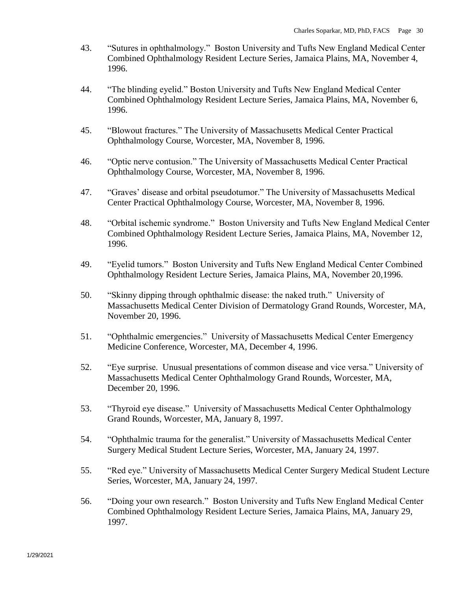- 43. "Sutures in ophthalmology." Boston University and Tufts New England Medical Center Combined Ophthalmology Resident Lecture Series, Jamaica Plains, MA, November 4, 1996.
- 44. "The blinding eyelid." Boston University and Tufts New England Medical Center Combined Ophthalmology Resident Lecture Series, Jamaica Plains, MA, November 6, 1996.
- 45. "Blowout fractures." The University of Massachusetts Medical Center Practical Ophthalmology Course, Worcester, MA, November 8, 1996.
- 46. "Optic nerve contusion." The University of Massachusetts Medical Center Practical Ophthalmology Course, Worcester, MA, November 8, 1996.
- 47. "Graves' disease and orbital pseudotumor." The University of Massachusetts Medical Center Practical Ophthalmology Course, Worcester, MA, November 8, 1996.
- 48. "Orbital ischemic syndrome." Boston University and Tufts New England Medical Center Combined Ophthalmology Resident Lecture Series, Jamaica Plains, MA, November 12, 1996.
- 49. "Eyelid tumors." Boston University and Tufts New England Medical Center Combined Ophthalmology Resident Lecture Series, Jamaica Plains, MA, November 20,1996.
- 50. "Skinny dipping through ophthalmic disease: the naked truth." University of Massachusetts Medical Center Division of Dermatology Grand Rounds, Worcester, MA, November 20, 1996.
- 51. "Ophthalmic emergencies." University of Massachusetts Medical Center Emergency Medicine Conference, Worcester, MA, December 4, 1996.
- 52. "Eye surprise. Unusual presentations of common disease and vice versa." University of Massachusetts Medical Center Ophthalmology Grand Rounds, Worcester, MA, December 20, 1996.
- 53. "Thyroid eye disease." University of Massachusetts Medical Center Ophthalmology Grand Rounds, Worcester, MA, January 8, 1997.
- 54. "Ophthalmic trauma for the generalist." University of Massachusetts Medical Center Surgery Medical Student Lecture Series, Worcester, MA, January 24, 1997.
- 55. "Red eye." University of Massachusetts Medical Center Surgery Medical Student Lecture Series, Worcester, MA, January 24, 1997.
- 56. "Doing your own research." Boston University and Tufts New England Medical Center Combined Ophthalmology Resident Lecture Series, Jamaica Plains, MA, January 29, 1997.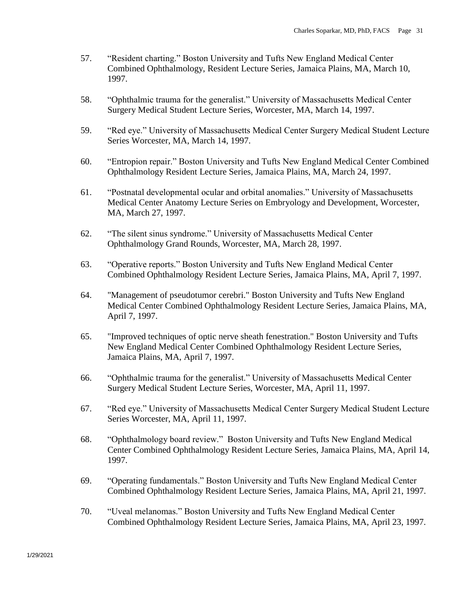- 57. "Resident charting." Boston University and Tufts New England Medical Center Combined Ophthalmology, Resident Lecture Series, Jamaica Plains, MA, March 10, 1997.
- 58. "Ophthalmic trauma for the generalist." University of Massachusetts Medical Center Surgery Medical Student Lecture Series, Worcester, MA, March 14, 1997.
- 59. "Red eye." University of Massachusetts Medical Center Surgery Medical Student Lecture Series Worcester, MA, March 14, 1997.
- 60. "Entropion repair." Boston University and Tufts New England Medical Center Combined Ophthalmology Resident Lecture Series, Jamaica Plains, MA, March 24, 1997.
- 61. "Postnatal developmental ocular and orbital anomalies." University of Massachusetts Medical Center Anatomy Lecture Series on Embryology and Development, Worcester, MA, March 27, 1997.
- 62. "The silent sinus syndrome." University of Massachusetts Medical Center Ophthalmology Grand Rounds, Worcester, MA, March 28, 1997.
- 63. "Operative reports." Boston University and Tufts New England Medical Center Combined Ophthalmology Resident Lecture Series, Jamaica Plains, MA, April 7, 1997.
- 64. "Management of pseudotumor cerebri." Boston University and Tufts New England Medical Center Combined Ophthalmology Resident Lecture Series, Jamaica Plains, MA, April 7, 1997.
- 65. "Improved techniques of optic nerve sheath fenestration." Boston University and Tufts New England Medical Center Combined Ophthalmology Resident Lecture Series, Jamaica Plains, MA, April 7, 1997.
- 66. "Ophthalmic trauma for the generalist." University of Massachusetts Medical Center Surgery Medical Student Lecture Series, Worcester, MA, April 11, 1997.
- 67. "Red eye." University of Massachusetts Medical Center Surgery Medical Student Lecture Series Worcester, MA, April 11, 1997.
- 68. "Ophthalmology board review." Boston University and Tufts New England Medical Center Combined Ophthalmology Resident Lecture Series, Jamaica Plains, MA, April 14, 1997.
- 69. "Operating fundamentals." Boston University and Tufts New England Medical Center Combined Ophthalmology Resident Lecture Series, Jamaica Plains, MA, April 21, 1997.
- 70. "Uveal melanomas." Boston University and Tufts New England Medical Center Combined Ophthalmology Resident Lecture Series, Jamaica Plains, MA, April 23, 1997.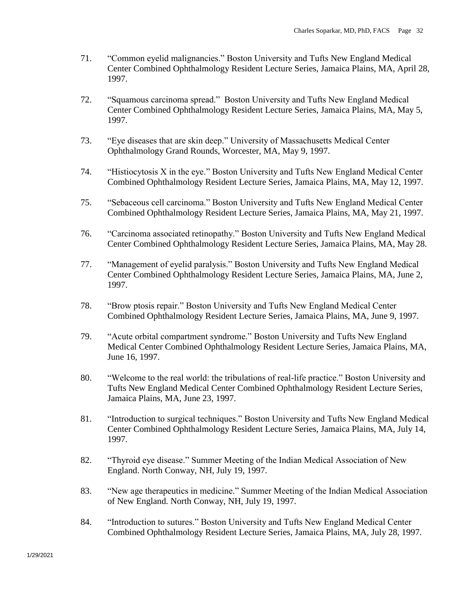- 71. "Common eyelid malignancies." Boston University and Tufts New England Medical Center Combined Ophthalmology Resident Lecture Series, Jamaica Plains, MA, April 28, 1997.
- 72. "Squamous carcinoma spread." Boston University and Tufts New England Medical Center Combined Ophthalmology Resident Lecture Series, Jamaica Plains, MA, May 5, 1997.
- 73. "Eye diseases that are skin deep." University of Massachusetts Medical Center Ophthalmology Grand Rounds, Worcester, MA, May 9, 1997.
- 74. "Histiocytosis X in the eye." Boston University and Tufts New England Medical Center Combined Ophthalmology Resident Lecture Series, Jamaica Plains, MA, May 12, 1997.
- 75. "Sebaceous cell carcinoma." Boston University and Tufts New England Medical Center Combined Ophthalmology Resident Lecture Series, Jamaica Plains, MA, May 21, 1997.
- 76. "Carcinoma associated retinopathy." Boston University and Tufts New England Medical Center Combined Ophthalmology Resident Lecture Series, Jamaica Plains, MA, May 28.
- 77. "Management of eyelid paralysis." Boston University and Tufts New England Medical Center Combined Ophthalmology Resident Lecture Series, Jamaica Plains, MA, June 2, 1997.
- 78. "Brow ptosis repair." Boston University and Tufts New England Medical Center Combined Ophthalmology Resident Lecture Series, Jamaica Plains, MA, June 9, 1997.
- 79. "Acute orbital compartment syndrome." Boston University and Tufts New England Medical Center Combined Ophthalmology Resident Lecture Series, Jamaica Plains, MA, June 16, 1997.
- 80. "Welcome to the real world: the tribulations of real-life practice." Boston University and Tufts New England Medical Center Combined Ophthalmology Resident Lecture Series, Jamaica Plains, MA, June 23, 1997.
- 81. "Introduction to surgical techniques." Boston University and Tufts New England Medical Center Combined Ophthalmology Resident Lecture Series, Jamaica Plains, MA, July 14, 1997.
- 82. "Thyroid eye disease." Summer Meeting of the Indian Medical Association of New England. North Conway, NH, July 19, 1997.
- 83. "New age therapeutics in medicine." Summer Meeting of the Indian Medical Association of New England. North Conway, NH, July 19, 1997.
- 84. "Introduction to sutures." Boston University and Tufts New England Medical Center Combined Ophthalmology Resident Lecture Series, Jamaica Plains, MA, July 28, 1997.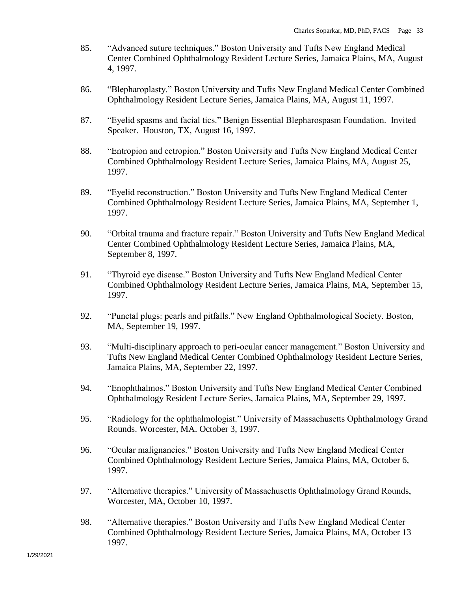- 85. "Advanced suture techniques." Boston University and Tufts New England Medical Center Combined Ophthalmology Resident Lecture Series, Jamaica Plains, MA, August 4, 1997.
- 86. "Blepharoplasty." Boston University and Tufts New England Medical Center Combined Ophthalmology Resident Lecture Series, Jamaica Plains, MA, August 11, 1997.
- 87. "Eyelid spasms and facial tics." Benign Essential Blepharospasm Foundation. Invited Speaker. Houston, TX, August 16, 1997.
- 88. "Entropion and ectropion." Boston University and Tufts New England Medical Center Combined Ophthalmology Resident Lecture Series, Jamaica Plains, MA, August 25, 1997.
- 89. "Eyelid reconstruction." Boston University and Tufts New England Medical Center Combined Ophthalmology Resident Lecture Series, Jamaica Plains, MA, September 1, 1997.
- 90. "Orbital trauma and fracture repair." Boston University and Tufts New England Medical Center Combined Ophthalmology Resident Lecture Series, Jamaica Plains, MA, September 8, 1997.
- 91. "Thyroid eye disease." Boston University and Tufts New England Medical Center Combined Ophthalmology Resident Lecture Series, Jamaica Plains, MA, September 15, 1997.
- 92. "Punctal plugs: pearls and pitfalls." New England Ophthalmological Society. Boston, MA, September 19, 1997.
- 93. "Multi-disciplinary approach to peri-ocular cancer management." Boston University and Tufts New England Medical Center Combined Ophthalmology Resident Lecture Series, Jamaica Plains, MA, September 22, 1997.
- 94. "Enophthalmos." Boston University and Tufts New England Medical Center Combined Ophthalmology Resident Lecture Series, Jamaica Plains, MA, September 29, 1997.
- 95. "Radiology for the ophthalmologist." University of Massachusetts Ophthalmology Grand Rounds. Worcester, MA. October 3, 1997.
- 96. "Ocular malignancies." Boston University and Tufts New England Medical Center Combined Ophthalmology Resident Lecture Series, Jamaica Plains, MA, October 6, 1997.
- 97. "Alternative therapies." University of Massachusetts Ophthalmology Grand Rounds, Worcester, MA, October 10, 1997.
- 98. "Alternative therapies." Boston University and Tufts New England Medical Center Combined Ophthalmology Resident Lecture Series, Jamaica Plains, MA, October 13 1997.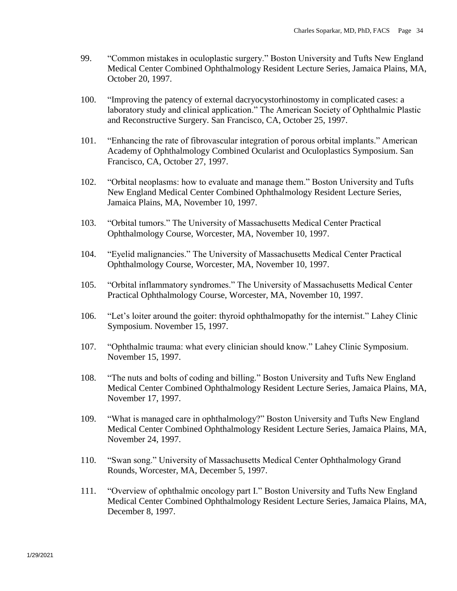- 99. "Common mistakes in oculoplastic surgery." Boston University and Tufts New England Medical Center Combined Ophthalmology Resident Lecture Series, Jamaica Plains, MA, October 20, 1997.
- 100. "Improving the patency of external dacryocystorhinostomy in complicated cases: a laboratory study and clinical application." The American Society of Ophthalmic Plastic and Reconstructive Surgery. San Francisco, CA, October 25, 1997.
- 101. "Enhancing the rate of fibrovascular integration of porous orbital implants." American Academy of Ophthalmology Combined Ocularist and Oculoplastics Symposium. San Francisco, CA, October 27, 1997.
- 102. "Orbital neoplasms: how to evaluate and manage them." Boston University and Tufts New England Medical Center Combined Ophthalmology Resident Lecture Series, Jamaica Plains, MA, November 10, 1997.
- 103. "Orbital tumors." The University of Massachusetts Medical Center Practical Ophthalmology Course, Worcester, MA, November 10, 1997.
- 104. "Eyelid malignancies." The University of Massachusetts Medical Center Practical Ophthalmology Course, Worcester, MA, November 10, 1997.
- 105. "Orbital inflammatory syndromes." The University of Massachusetts Medical Center Practical Ophthalmology Course, Worcester, MA, November 10, 1997.
- 106. "Let's loiter around the goiter: thyroid ophthalmopathy for the internist." Lahey Clinic Symposium. November 15, 1997.
- 107. "Ophthalmic trauma: what every clinician should know." Lahey Clinic Symposium. November 15, 1997.
- 108. "The nuts and bolts of coding and billing." Boston University and Tufts New England Medical Center Combined Ophthalmology Resident Lecture Series, Jamaica Plains, MA, November 17, 1997.
- 109. "What is managed care in ophthalmology?" Boston University and Tufts New England Medical Center Combined Ophthalmology Resident Lecture Series, Jamaica Plains, MA, November 24, 1997.
- 110. "Swan song." University of Massachusetts Medical Center Ophthalmology Grand Rounds, Worcester, MA, December 5, 1997.
- 111. "Overview of ophthalmic oncology part I." Boston University and Tufts New England Medical Center Combined Ophthalmology Resident Lecture Series, Jamaica Plains, MA, December 8, 1997.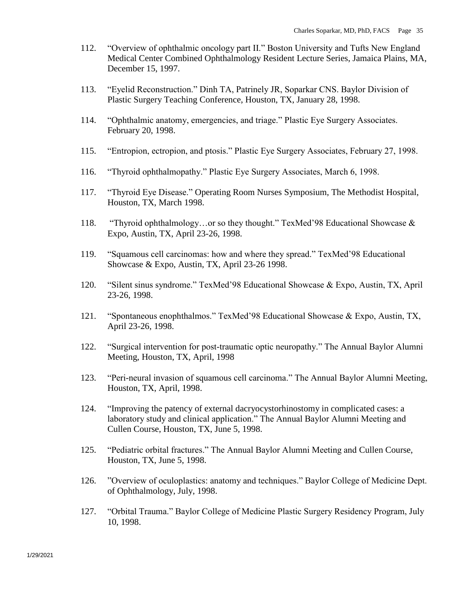- 112. "Overview of ophthalmic oncology part II." Boston University and Tufts New England Medical Center Combined Ophthalmology Resident Lecture Series, Jamaica Plains, MA, December 15, 1997.
- 113. "Eyelid Reconstruction." Dinh TA, Patrinely JR, Soparkar CNS. Baylor Division of Plastic Surgery Teaching Conference, Houston, TX, January 28, 1998.
- 114. "Ophthalmic anatomy, emergencies, and triage." Plastic Eye Surgery Associates. February 20, 1998.
- 115. "Entropion, ectropion, and ptosis." Plastic Eye Surgery Associates, February 27, 1998.
- 116. "Thyroid ophthalmopathy." Plastic Eye Surgery Associates, March 6, 1998.
- 117. "Thyroid Eye Disease." Operating Room Nurses Symposium, The Methodist Hospital, Houston, TX, March 1998.
- 118. "Thyroid ophthalmology…or so they thought." TexMed'98 Educational Showcase & Expo, Austin, TX, April 23-26, 1998.
- 119. "Squamous cell carcinomas: how and where they spread." TexMed'98 Educational Showcase & Expo, Austin, TX, April 23-26 1998.
- 120. "Silent sinus syndrome." TexMed'98 Educational Showcase & Expo, Austin, TX, April 23-26, 1998.
- 121. "Spontaneous enophthalmos." TexMed'98 Educational Showcase & Expo, Austin, TX, April 23-26, 1998.
- 122. "Surgical intervention for post-traumatic optic neuropathy." The Annual Baylor Alumni Meeting, Houston, TX, April, 1998
- 123. "Peri-neural invasion of squamous cell carcinoma." The Annual Baylor Alumni Meeting, Houston, TX, April, 1998.
- 124. "Improving the patency of external dacryocystorhinostomy in complicated cases: a laboratory study and clinical application." The Annual Baylor Alumni Meeting and Cullen Course, Houston, TX, June 5, 1998.
- 125. "Pediatric orbital fractures." The Annual Baylor Alumni Meeting and Cullen Course, Houston, TX, June 5, 1998.
- 126. "Overview of oculoplastics: anatomy and techniques." Baylor College of Medicine Dept. of Ophthalmology, July, 1998.
- 127. "Orbital Trauma." Baylor College of Medicine Plastic Surgery Residency Program, July 10, 1998.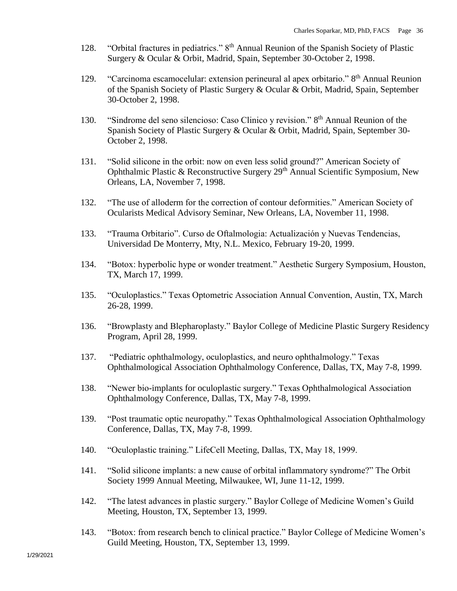- 128. "Orbital fractures in pediatrics." 8<sup>th</sup> Annual Reunion of the Spanish Society of Plastic Surgery & Ocular & Orbit, Madrid, Spain, September 30-October 2, 1998.
- 129. "Carcinoma escamocelular: extension perineural al apex orbitario." 8<sup>th</sup> Annual Reunion of the Spanish Society of Plastic Surgery & Ocular & Orbit, Madrid, Spain, September 30-October 2, 1998.
- 130. "Sindrome del seno silencioso: Caso Clinico y revision." 8<sup>th</sup> Annual Reunion of the Spanish Society of Plastic Surgery & Ocular & Orbit, Madrid, Spain, September 30- October 2, 1998.
- 131. "Solid silicone in the orbit: now on even less solid ground?" American Society of Ophthalmic Plastic & Reconstructive Surgery  $29<sup>th</sup>$  Annual Scientific Symposium, New Orleans, LA, November 7, 1998.
- 132. "The use of alloderm for the correction of contour deformities." American Society of Ocularists Medical Advisory Seminar, New Orleans, LA, November 11, 1998.
- 133. "Trauma Orbitario". Curso de Oftalmologia: Actualización y Nuevas Tendencias, Universidad De Monterry, Mty, N.L. Mexico, February 19-20, 1999.
- 134. "Botox: hyperbolic hype or wonder treatment." Aesthetic Surgery Symposium, Houston, TX, March 17, 1999.
- 135. "Oculoplastics." Texas Optometric Association Annual Convention, Austin, TX, March 26-28, 1999.
- 136. "Browplasty and Blepharoplasty." Baylor College of Medicine Plastic Surgery Residency Program, April 28, 1999.
- 137. "Pediatric ophthalmology, oculoplastics, and neuro ophthalmology." Texas Ophthalmological Association Ophthalmology Conference, Dallas, TX, May 7-8, 1999.
- 138. "Newer bio-implants for oculoplastic surgery." Texas Ophthalmological Association Ophthalmology Conference, Dallas, TX, May 7-8, 1999.
- 139. "Post traumatic optic neuropathy." Texas Ophthalmological Association Ophthalmology Conference, Dallas, TX, May 7-8, 1999.
- 140. "Oculoplastic training." LifeCell Meeting, Dallas, TX, May 18, 1999.
- 141. "Solid silicone implants: a new cause of orbital inflammatory syndrome?" The Orbit Society 1999 Annual Meeting, Milwaukee, WI, June 11-12, 1999.
- 142. "The latest advances in plastic surgery." Baylor College of Medicine Women's Guild Meeting, Houston, TX, September 13, 1999.
- 143. "Botox: from research bench to clinical practice." Baylor College of Medicine Women's Guild Meeting, Houston, TX, September 13, 1999.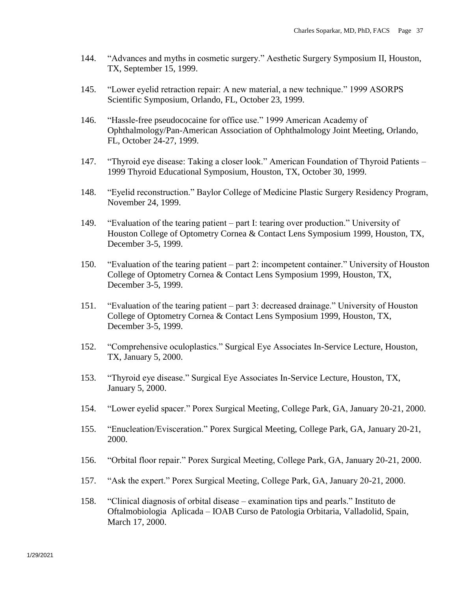- 144. "Advances and myths in cosmetic surgery." Aesthetic Surgery Symposium II, Houston, TX, September 15, 1999.
- 145. "Lower eyelid retraction repair: A new material, a new technique." 1999 ASORPS Scientific Symposium, Orlando, FL, October 23, 1999.
- 146. "Hassle-free pseudococaine for office use." 1999 American Academy of Ophthalmology/Pan-American Association of Ophthalmology Joint Meeting, Orlando, FL, October 24-27, 1999.
- 147. "Thyroid eye disease: Taking a closer look." American Foundation of Thyroid Patients 1999 Thyroid Educational Symposium, Houston, TX, October 30, 1999.
- 148. "Eyelid reconstruction." Baylor College of Medicine Plastic Surgery Residency Program, November 24, 1999.
- 149. "Evaluation of the tearing patient part I: tearing over production." University of Houston College of Optometry Cornea & Contact Lens Symposium 1999, Houston, TX, December 3-5, 1999.
- 150. "Evaluation of the tearing patient part 2: incompetent container." University of Houston College of Optometry Cornea & Contact Lens Symposium 1999, Houston, TX, December 3-5, 1999.
- 151. "Evaluation of the tearing patient part 3: decreased drainage." University of Houston College of Optometry Cornea & Contact Lens Symposium 1999, Houston, TX, December 3-5, 1999.
- 152. "Comprehensive oculoplastics." Surgical Eye Associates In-Service Lecture, Houston, TX, January 5, 2000.
- 153. "Thyroid eye disease." Surgical Eye Associates In-Service Lecture, Houston, TX, January 5, 2000.
- 154. "Lower eyelid spacer." Porex Surgical Meeting, College Park, GA, January 20-21, 2000.
- 155. "Enucleation/Evisceration." Porex Surgical Meeting, College Park, GA, January 20-21, 2000.
- 156. "Orbital floor repair." Porex Surgical Meeting, College Park, GA, January 20-21, 2000.
- 157. "Ask the expert." Porex Surgical Meeting, College Park, GA, January 20-21, 2000.
- 158. "Clinical diagnosis of orbital disease examination tips and pearls." Instituto de Oftalmobiologia Aplicada – IOAB Curso de Patologia Orbitaria, Valladolid, Spain, March 17, 2000.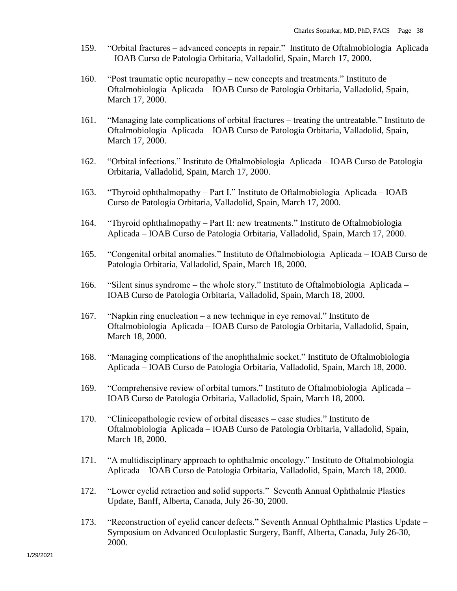- 159. "Orbital fractures advanced concepts in repair." Instituto de Oftalmobiologia Aplicada – IOAB Curso de Patologia Orbitaria, Valladolid, Spain, March 17, 2000.
- 160. "Post traumatic optic neuropathy new concepts and treatments." Instituto de Oftalmobiologia Aplicada – IOAB Curso de Patologia Orbitaria, Valladolid, Spain, March 17, 2000.
- 161. "Managing late complications of orbital fractures treating the untreatable." Instituto de Oftalmobiologia Aplicada – IOAB Curso de Patologia Orbitaria, Valladolid, Spain, March 17, 2000.
- 162. "Orbital infections." Instituto de Oftalmobiologia Aplicada IOAB Curso de Patologia Orbitaria, Valladolid, Spain, March 17, 2000.
- 163. "Thyroid ophthalmopathy Part I." Instituto de Oftalmobiologia Aplicada IOAB Curso de Patologia Orbitaria, Valladolid, Spain, March 17, 2000.
- 164. "Thyroid ophthalmopathy Part II: new treatments." Instituto de Oftalmobiologia Aplicada – IOAB Curso de Patologia Orbitaria, Valladolid, Spain, March 17, 2000.
- 165. "Congenital orbital anomalies." Instituto de Oftalmobiologia Aplicada IOAB Curso de Patologia Orbitaria, Valladolid, Spain, March 18, 2000.
- 166. "Silent sinus syndrome the whole story." Instituto de Oftalmobiologia Aplicada IOAB Curso de Patologia Orbitaria, Valladolid, Spain, March 18, 2000.
- 167. "Napkin ring enucleation a new technique in eye removal." Instituto de Oftalmobiologia Aplicada – IOAB Curso de Patologia Orbitaria, Valladolid, Spain, March 18, 2000.
- 168. "Managing complications of the anophthalmic socket." Instituto de Oftalmobiologia Aplicada – IOAB Curso de Patologia Orbitaria, Valladolid, Spain, March 18, 2000.
- 169. "Comprehensive review of orbital tumors." Instituto de Oftalmobiologia Aplicada IOAB Curso de Patologia Orbitaria, Valladolid, Spain, March 18, 2000.
- 170. "Clinicopathologic review of orbital diseases case studies." Instituto de Oftalmobiologia Aplicada – IOAB Curso de Patologia Orbitaria, Valladolid, Spain, March 18, 2000.
- 171. "A multidisciplinary approach to ophthalmic oncology." Instituto de Oftalmobiologia Aplicada – IOAB Curso de Patologia Orbitaria, Valladolid, Spain, March 18, 2000.
- 172. "Lower eyelid retraction and solid supports." Seventh Annual Ophthalmic Plastics Update, Banff, Alberta, Canada, July 26-30, 2000.
- 173. "Reconstruction of eyelid cancer defects." Seventh Annual Ophthalmic Plastics Update Symposium on Advanced Oculoplastic Surgery, Banff, Alberta, Canada, July 26-30, 2000.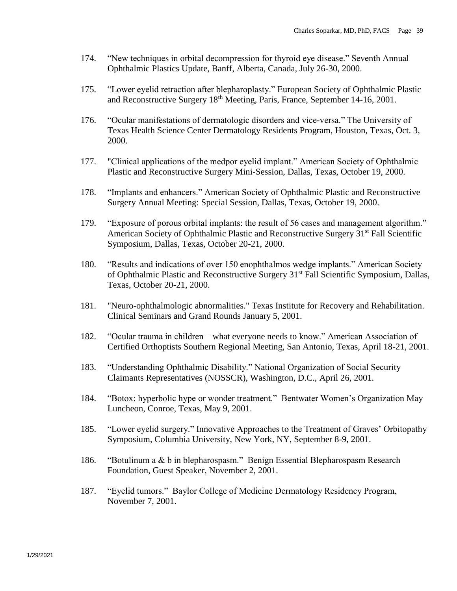- 174. "New techniques in orbital decompression for thyroid eye disease." Seventh Annual Ophthalmic Plastics Update, Banff, Alberta, Canada, July 26-30, 2000.
- 175. "Lower eyelid retraction after blepharoplasty." European Society of Ophthalmic Plastic and Reconstructive Surgery 18th Meeting, Paris, France, September 14-16, 2001.
- 176. "Ocular manifestations of dermatologic disorders and vice-versa." The University of Texas Health Science Center Dermatology Residents Program, Houston, Texas, Oct. 3, 2000.
- 177. "Clinical applications of the medpor eyelid implant." American Society of Ophthalmic Plastic and Reconstructive Surgery Mini-Session, Dallas, Texas, October 19, 2000.
- 178. "Implants and enhancers." American Society of Ophthalmic Plastic and Reconstructive Surgery Annual Meeting: Special Session, Dallas, Texas, October 19, 2000.
- 179. "Exposure of porous orbital implants: the result of 56 cases and management algorithm." American Society of Ophthalmic Plastic and Reconstructive Surgery 31<sup>st</sup> Fall Scientific Symposium, Dallas, Texas, October 20-21, 2000.
- 180. "Results and indications of over 150 enophthalmos wedge implants." American Society of Ophthalmic Plastic and Reconstructive Surgery 31st Fall Scientific Symposium, Dallas, Texas, October 20-21, 2000.
- 181. "Neuro-ophthalmologic abnormalities." Texas Institute for Recovery and Rehabilitation. Clinical Seminars and Grand Rounds January 5, 2001.
- 182. "Ocular trauma in children what everyone needs to know." American Association of Certified Orthoptists Southern Regional Meeting, San Antonio, Texas, April 18-21, 2001.
- 183. "Understanding Ophthalmic Disability." National Organization of Social Security Claimants Representatives (NOSSCR), Washington, D.C., April 26, 2001.
- 184. "Botox: hyperbolic hype or wonder treatment." Bentwater Women's Organization May Luncheon, Conroe, Texas, May 9, 2001.
- 185. "Lower eyelid surgery." Innovative Approaches to the Treatment of Graves' Orbitopathy Symposium, Columbia University, New York, NY, September 8-9, 2001.
- 186. "Botulinum a & b in blepharospasm." Benign Essential Blepharospasm Research Foundation, Guest Speaker, November 2, 2001.
- 187. "Eyelid tumors." Baylor College of Medicine Dermatology Residency Program, November 7, 2001.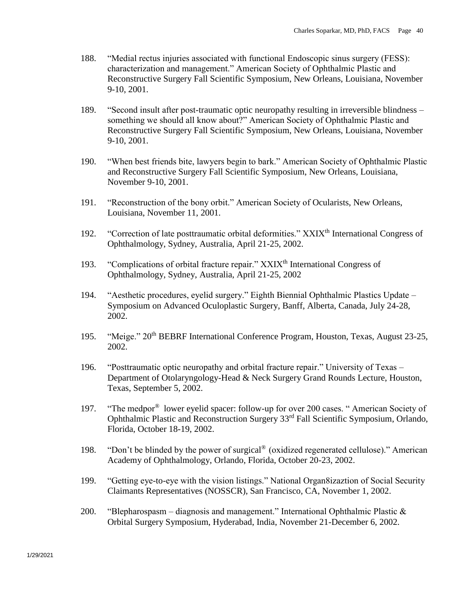- 188. "Medial rectus injuries associated with functional Endoscopic sinus surgery (FESS): characterization and management." American Society of Ophthalmic Plastic and Reconstructive Surgery Fall Scientific Symposium, New Orleans, Louisiana, November 9-10, 2001.
- 189. "Second insult after post-traumatic optic neuropathy resulting in irreversible blindness something we should all know about?" American Society of Ophthalmic Plastic and Reconstructive Surgery Fall Scientific Symposium, New Orleans, Louisiana, November 9-10, 2001.
- 190. "When best friends bite, lawyers begin to bark." American Society of Ophthalmic Plastic and Reconstructive Surgery Fall Scientific Symposium, New Orleans, Louisiana, November 9-10, 2001.
- 191. "Reconstruction of the bony orbit." American Society of Ocularists, New Orleans, Louisiana, November 11, 2001.
- 192. "Correction of late posttraumatic orbital deformities." XXIX<sup>th</sup> International Congress of Ophthalmology, Sydney, Australia, April 21-25, 2002.
- 193. "Complications of orbital fracture repair." XXIX<sup>th</sup> International Congress of Ophthalmology, Sydney, Australia, April 21-25, 2002
- 194. "Aesthetic procedures, eyelid surgery." Eighth Biennial Ophthalmic Plastics Update Symposium on Advanced Oculoplastic Surgery, Banff, Alberta, Canada, July 24-28, 2002.
- 195. "Meige." 20<sup>th</sup> BEBRF International Conference Program, Houston, Texas, August 23-25, 2002.
- 196. "Posttraumatic optic neuropathy and orbital fracture repair." University of Texas Department of Otolaryngology-Head & Neck Surgery Grand Rounds Lecture, Houston, Texas, September 5, 2002.
- 197. "The medpor® lower eyelid spacer: follow-up for over 200 cases. " American Society of Ophthalmic Plastic and Reconstruction Surgery 33rd Fall Scientific Symposium, Orlando, Florida, October 18-19, 2002.
- 198. "Don't be blinded by the power of surgical® (oxidized regenerated cellulose)." American Academy of Ophthalmology, Orlando, Florida, October 20-23, 2002.
- 199. "Getting eye-to-eye with the vision listings." National Organ8izaztion of Social Security Claimants Representatives (NOSSCR), San Francisco, CA, November 1, 2002.
- 200. "Blepharospasm diagnosis and management." International Ophthalmic Plastic  $\&$ Orbital Surgery Symposium, Hyderabad, India, November 21-December 6, 2002.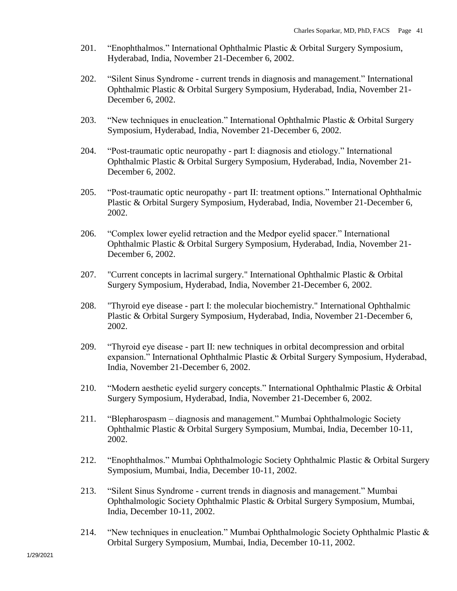- 201. "Enophthalmos." International Ophthalmic Plastic & Orbital Surgery Symposium, Hyderabad, India, November 21-December 6, 2002.
- 202. "Silent Sinus Syndrome current trends in diagnosis and management." International Ophthalmic Plastic & Orbital Surgery Symposium, Hyderabad, India, November 21- December 6, 2002.
- 203. "New techniques in enucleation." International Ophthalmic Plastic & Orbital Surgery Symposium, Hyderabad, India, November 21-December 6, 2002.
- 204. "Post-traumatic optic neuropathy part I: diagnosis and etiology." International Ophthalmic Plastic & Orbital Surgery Symposium, Hyderabad, India, November 21- December 6, 2002.
- 205. "Post-traumatic optic neuropathy part II: treatment options." International Ophthalmic Plastic & Orbital Surgery Symposium, Hyderabad, India, November 21-December 6, 2002.
- 206. "Complex lower eyelid retraction and the Medpor eyelid spacer." International Ophthalmic Plastic & Orbital Surgery Symposium, Hyderabad, India, November 21- December 6, 2002.
- 207. "Current concepts in lacrimal surgery." International Ophthalmic Plastic & Orbital Surgery Symposium, Hyderabad, India, November 21-December 6, 2002.
- 208. "Thyroid eye disease part I: the molecular biochemistry." International Ophthalmic Plastic & Orbital Surgery Symposium, Hyderabad, India, November 21-December 6, 2002.
- 209. "Thyroid eye disease part II: new techniques in orbital decompression and orbital expansion." International Ophthalmic Plastic & Orbital Surgery Symposium, Hyderabad, India, November 21-December 6, 2002.
- 210. "Modern aesthetic eyelid surgery concepts." International Ophthalmic Plastic & Orbital Surgery Symposium, Hyderabad, India, November 21-December 6, 2002.
- 211. "Blepharospasm diagnosis and management." Mumbai Ophthalmologic Society Ophthalmic Plastic & Orbital Surgery Symposium, Mumbai, India, December 10-11, 2002.
- 212. "Enophthalmos." Mumbai Ophthalmologic Society Ophthalmic Plastic & Orbital Surgery Symposium, Mumbai, India, December 10-11, 2002.
- 213. "Silent Sinus Syndrome current trends in diagnosis and management." Mumbai Ophthalmologic Society Ophthalmic Plastic & Orbital Surgery Symposium, Mumbai, India, December 10-11, 2002.
- 214. "New techniques in enucleation." Mumbai Ophthalmologic Society Ophthalmic Plastic & Orbital Surgery Symposium, Mumbai, India, December 10-11, 2002.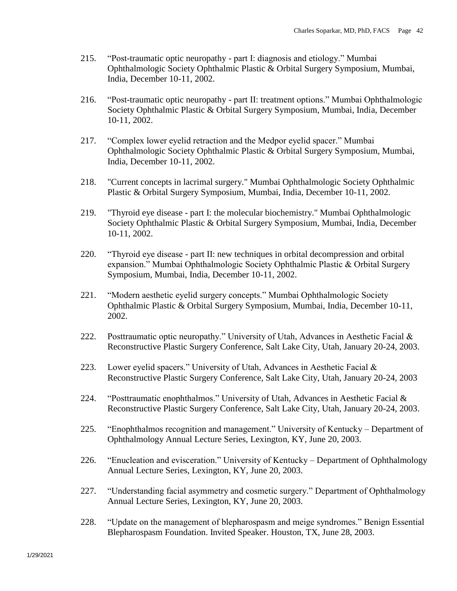- 215. "Post-traumatic optic neuropathy part I: diagnosis and etiology." Mumbai Ophthalmologic Society Ophthalmic Plastic & Orbital Surgery Symposium, Mumbai, India, December 10-11, 2002.
- 216. "Post-traumatic optic neuropathy part II: treatment options." Mumbai Ophthalmologic Society Ophthalmic Plastic & Orbital Surgery Symposium, Mumbai, India, December 10-11, 2002.
- 217. "Complex lower eyelid retraction and the Medpor eyelid spacer." Mumbai Ophthalmologic Society Ophthalmic Plastic & Orbital Surgery Symposium, Mumbai, India, December 10-11, 2002.
- 218. "Current concepts in lacrimal surgery." Mumbai Ophthalmologic Society Ophthalmic Plastic & Orbital Surgery Symposium, Mumbai, India, December 10-11, 2002.
- 219. "Thyroid eye disease part I: the molecular biochemistry." Mumbai Ophthalmologic Society Ophthalmic Plastic & Orbital Surgery Symposium, Mumbai, India, December 10-11, 2002.
- 220. "Thyroid eye disease part II: new techniques in orbital decompression and orbital expansion." Mumbai Ophthalmologic Society Ophthalmic Plastic & Orbital Surgery Symposium, Mumbai, India, December 10-11, 2002.
- 221. "Modern aesthetic eyelid surgery concepts." Mumbai Ophthalmologic Society Ophthalmic Plastic & Orbital Surgery Symposium, Mumbai, India, December 10-11, 2002.
- 222. Posttraumatic optic neuropathy." University of Utah, Advances in Aesthetic Facial & Reconstructive Plastic Surgery Conference, Salt Lake City, Utah, January 20-24, 2003.
- 223. Lower eyelid spacers." University of Utah, Advances in Aesthetic Facial  $\&$ Reconstructive Plastic Surgery Conference, Salt Lake City, Utah, January 20-24, 2003
- 224. "Posttraumatic enophthalmos." University of Utah, Advances in Aesthetic Facial & Reconstructive Plastic Surgery Conference, Salt Lake City, Utah, January 20-24, 2003.
- 225. "Enophthalmos recognition and management." University of Kentucky Department of Ophthalmology Annual Lecture Series, Lexington, KY, June 20, 2003.
- 226. "Enucleation and evisceration." University of Kentucky Department of Ophthalmology Annual Lecture Series, Lexington, KY, June 20, 2003.
- 227. "Understanding facial asymmetry and cosmetic surgery." Department of Ophthalmology Annual Lecture Series, Lexington, KY, June 20, 2003.
- 228. "Update on the management of blepharospasm and meige syndromes." Benign Essential Blepharospasm Foundation. Invited Speaker. Houston, TX, June 28, 2003.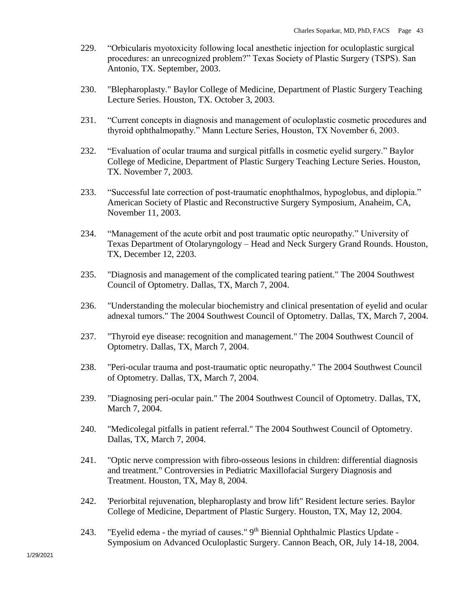- 229. "Orbicularis myotoxicity following local anesthetic injection for oculoplastic surgical procedures: an unrecognized problem?" Texas Society of Plastic Surgery (TSPS). San Antonio, TX. September, 2003.
- 230. "Blepharoplasty." Baylor College of Medicine, Department of Plastic Surgery Teaching Lecture Series. Houston, TX. October 3, 2003.
- 231. "Current concepts in diagnosis and management of oculoplastic cosmetic procedures and thyroid ophthalmopathy." Mann Lecture Series, Houston, TX November 6, 2003.
- 232. "Evaluation of ocular trauma and surgical pitfalls in cosmetic eyelid surgery." Baylor College of Medicine, Department of Plastic Surgery Teaching Lecture Series. Houston, TX. November 7, 2003.
- 233. "Successful late correction of post-traumatic enophthalmos, hypoglobus, and diplopia." American Society of Plastic and Reconstructive Surgery Symposium, Anaheim, CA, November 11, 2003.
- 234. "Management of the acute orbit and post traumatic optic neuropathy." University of Texas Department of Otolaryngology – Head and Neck Surgery Grand Rounds. Houston, TX, December 12, 2203.
- 235. "Diagnosis and management of the complicated tearing patient." The 2004 Southwest Council of Optometry. Dallas, TX, March 7, 2004.
- 236. "Understanding the molecular biochemistry and clinical presentation of eyelid and ocular adnexal tumors." The 2004 Southwest Council of Optometry. Dallas, TX, March 7, 2004.
- 237. "Thyroid eye disease: recognition and management." The 2004 Southwest Council of Optometry. Dallas, TX, March 7, 2004.
- 238. "Peri-ocular trauma and post-traumatic optic neuropathy." The 2004 Southwest Council of Optometry. Dallas, TX, March 7, 2004.
- 239. "Diagnosing peri-ocular pain." The 2004 Southwest Council of Optometry. Dallas, TX, March 7, 2004.
- 240. "Medicolegal pitfalls in patient referral." The 2004 Southwest Council of Optometry. Dallas, TX, March 7, 2004.
- 241. "Optic nerve compression with fibro-osseous lesions in children: differential diagnosis and treatment." Controversies in Pediatric Maxillofacial Surgery Diagnosis and Treatment. Houston, TX, May 8, 2004.
- 242. 'Periorbital rejuvenation, blepharoplasty and brow lift" Resident lecture series. Baylor College of Medicine, Department of Plastic Surgery. Houston, TX, May 12, 2004.
- 243. "Eyelid edema the myriad of causes."  $9<sup>th</sup>$  Biennial Ophthalmic Plastics Update -Symposium on Advanced Oculoplastic Surgery. Cannon Beach, OR, July 14-18, 2004.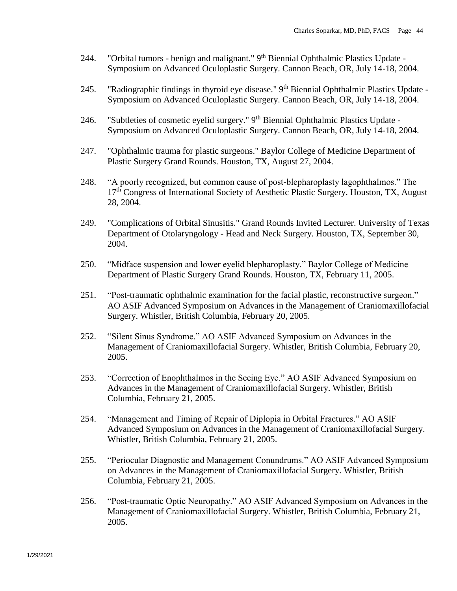- 244. "Orbital tumors benign and malignant." 9<sup>th</sup> Biennial Ophthalmic Plastics Update -Symposium on Advanced Oculoplastic Surgery. Cannon Beach, OR, July 14-18, 2004.
- 245. "Radiographic findings in thyroid eye disease." 9<sup>th</sup> Biennial Ophthalmic Plastics Update -Symposium on Advanced Oculoplastic Surgery. Cannon Beach, OR, July 14-18, 2004.
- 246. "Subtleties of cosmetic eyelid surgery." 9<sup>th</sup> Biennial Ophthalmic Plastics Update -Symposium on Advanced Oculoplastic Surgery. Cannon Beach, OR, July 14-18, 2004.
- 247. "Ophthalmic trauma for plastic surgeons." Baylor College of Medicine Department of Plastic Surgery Grand Rounds. Houston, TX, August 27, 2004.
- 248. "A poorly recognized, but common cause of post-blepharoplasty lagophthalmos." The 17<sup>th</sup> Congress of International Society of Aesthetic Plastic Surgery. Houston, TX, August 28, 2004.
- 249. "Complications of Orbital Sinusitis." Grand Rounds Invited Lecturer. University of Texas Department of Otolaryngology - Head and Neck Surgery. Houston, TX, September 30, 2004.
- 250. "Midface suspension and lower eyelid blepharoplasty." Baylor College of Medicine Department of Plastic Surgery Grand Rounds. Houston, TX, February 11, 2005.
- 251. "Post-traumatic ophthalmic examination for the facial plastic, reconstructive surgeon." AO ASIF Advanced Symposium on Advances in the Management of Craniomaxillofacial Surgery. Whistler, British Columbia, February 20, 2005.
- 252. "Silent Sinus Syndrome." AO ASIF Advanced Symposium on Advances in the Management of Craniomaxillofacial Surgery. Whistler, British Columbia, February 20, 2005.
- 253. "Correction of Enophthalmos in the Seeing Eye." AO ASIF Advanced Symposium on Advances in the Management of Craniomaxillofacial Surgery. Whistler, British Columbia, February 21, 2005.
- 254. "Management and Timing of Repair of Diplopia in Orbital Fractures." AO ASIF Advanced Symposium on Advances in the Management of Craniomaxillofacial Surgery. Whistler, British Columbia, February 21, 2005.
- 255. "Periocular Diagnostic and Management Conundrums." AO ASIF Advanced Symposium on Advances in the Management of Craniomaxillofacial Surgery. Whistler, British Columbia, February 21, 2005.
- 256. "Post-traumatic Optic Neuropathy." AO ASIF Advanced Symposium on Advances in the Management of Craniomaxillofacial Surgery. Whistler, British Columbia, February 21, 2005.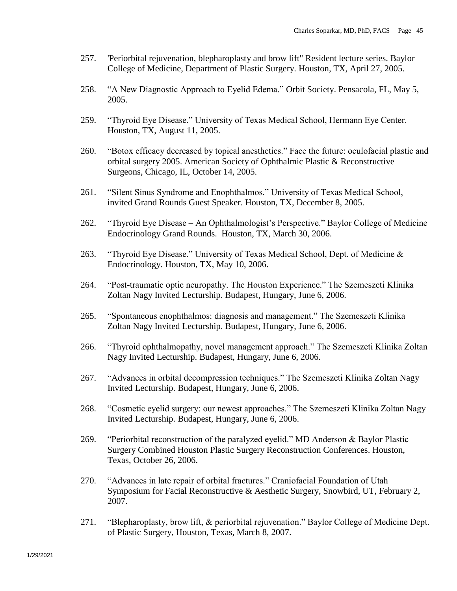- 257. 'Periorbital rejuvenation, blepharoplasty and brow lift" Resident lecture series. Baylor College of Medicine, Department of Plastic Surgery. Houston, TX, April 27, 2005.
- 258. "A New Diagnostic Approach to Eyelid Edema." Orbit Society. Pensacola, FL, May 5, 2005.
- 259. "Thyroid Eye Disease." University of Texas Medical School, Hermann Eye Center. Houston, TX, August 11, 2005.
- 260. "Botox efficacy decreased by topical anesthetics." Face the future: oculofacial plastic and orbital surgery 2005. American Society of Ophthalmic Plastic & Reconstructive Surgeons, Chicago, IL, October 14, 2005.
- 261. "Silent Sinus Syndrome and Enophthalmos." University of Texas Medical School, invited Grand Rounds Guest Speaker. Houston, TX, December 8, 2005.
- 262. "Thyroid Eye Disease An Ophthalmologist's Perspective." Baylor College of Medicine Endocrinology Grand Rounds. Houston, TX, March 30, 2006.
- 263. "Thyroid Eye Disease." University of Texas Medical School, Dept. of Medicine & Endocrinology. Houston, TX, May 10, 2006.
- 264. "Post-traumatic optic neuropathy. The Houston Experience." The Szemeszeti Klinika Zoltan Nagy Invited Lecturship. Budapest, Hungary, June 6, 2006.
- 265. "Spontaneous enophthalmos: diagnosis and management." The Szemeszeti Klinika Zoltan Nagy Invited Lecturship. Budapest, Hungary, June 6, 2006.
- 266. "Thyroid ophthalmopathy, novel management approach." The Szemeszeti Klinika Zoltan Nagy Invited Lecturship. Budapest, Hungary, June 6, 2006.
- 267. "Advances in orbital decompression techniques." The Szemeszeti Klinika Zoltan Nagy Invited Lecturship. Budapest, Hungary, June 6, 2006.
- 268. "Cosmetic eyelid surgery: our newest approaches." The Szemeszeti Klinika Zoltan Nagy Invited Lecturship. Budapest, Hungary, June 6, 2006.
- 269. "Periorbital reconstruction of the paralyzed eyelid." MD Anderson & Baylor Plastic Surgery Combined Houston Plastic Surgery Reconstruction Conferences. Houston, Texas, October 26, 2006.
- 270. "Advances in late repair of orbital fractures." Craniofacial Foundation of Utah Symposium for Facial Reconstructive & Aesthetic Surgery, Snowbird, UT, February 2, 2007.
- 271. "Blepharoplasty, brow lift, & periorbital rejuvenation." Baylor College of Medicine Dept. of Plastic Surgery, Houston, Texas, March 8, 2007.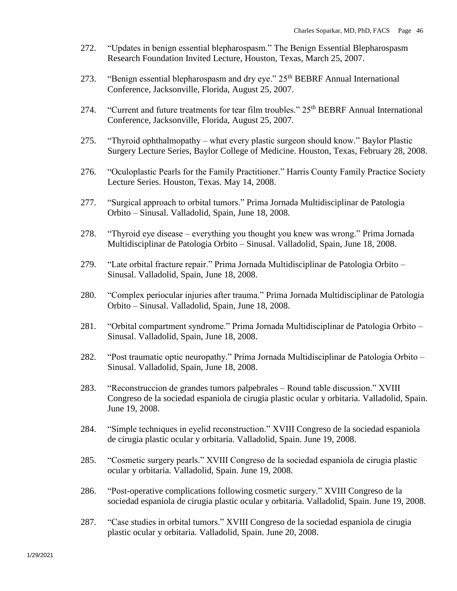- 272. "Updates in benign essential blepharospasm." The Benign Essential Blepharospasm Research Foundation Invited Lecture, Houston, Texas, March 25, 2007.
- 273. "Benign essential blepharospasm and dry eye." 25<sup>th</sup> BEBRF Annual International Conference, Jacksonville, Florida, August 25, 2007.
- 274. "Current and future treatments for tear film troubles." 25<sup>th</sup> BEBRF Annual International Conference, Jacksonville, Florida, August 25, 2007.
- 275. "Thyroid ophthalmopathy what every plastic surgeon should know." Baylor Plastic Surgery Lecture Series, Baylor College of Medicine. Houston, Texas, February 28, 2008.
- 276. "Oculoplastic Pearls for the Family Practitioner." Harris County Family Practice Society Lecture Series. Houston, Texas. May 14, 2008.
- 277. "Surgical approach to orbital tumors." Prima Jornada Multidisciplinar de Patologia Orbito – Sinusal. Valladolid, Spain, June 18, 2008.
- 278. "Thyroid eye disease everything you thought you knew was wrong." Prima Jornada Multidisciplinar de Patologia Orbito – Sinusal. Valladolid, Spain, June 18, 2008.
- 279. "Late orbital fracture repair." Prima Jornada Multidisciplinar de Patologia Orbito Sinusal. Valladolid, Spain, June 18, 2008.
- 280. "Complex periocular injuries after trauma." Prima Jornada Multidisciplinar de Patologia Orbito – Sinusal. Valladolid, Spain, June 18, 2008.
- 281. "Orbital compartment syndrome." Prima Jornada Multidisciplinar de Patologia Orbito Sinusal. Valladolid, Spain, June 18, 2008.
- 282. "Post traumatic optic neuropathy." Prima Jornada Multidisciplinar de Patologia Orbito Sinusal. Valladolid, Spain, June 18, 2008.
- 283. "Reconstruccion de grandes tumors palpebrales Round table discussion." XVIII Congreso de la sociedad espaniola de cirugia plastic ocular y orbitaria. Valladolid, Spain. June 19, 2008.
- 284. "Simple techniques in eyelid reconstruction." XVIII Congreso de la sociedad espaniola de cirugia plastic ocular y orbitaria. Valladolid, Spain. June 19, 2008.
- 285. "Cosmetic surgery pearls." XVIII Congreso de la sociedad espaniola de cirugia plastic ocular y orbitaria. Valladolid, Spain. June 19, 2008.
- 286. "Post-operative complications following cosmetic surgery." XVIII Congreso de la sociedad espaniola de cirugia plastic ocular y orbitaria. Valladolid, Spain. June 19, 2008.
- 287. "Case studies in orbital tumors." XVIII Congreso de la sociedad espaniola de cirugia plastic ocular y orbitaria. Valladolid, Spain. June 20, 2008.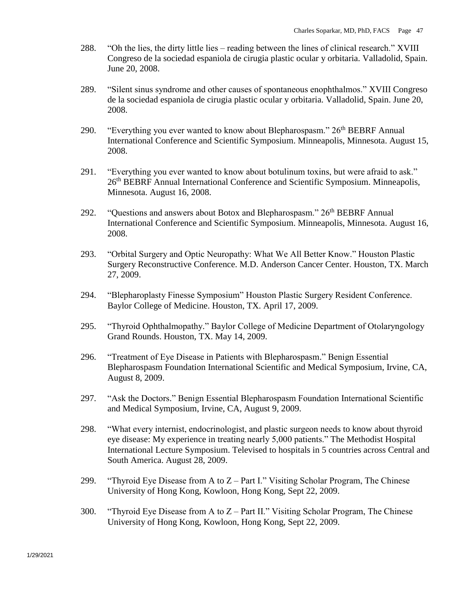- 288. "Oh the lies, the dirty little lies reading between the lines of clinical research." XVIII Congreso de la sociedad espaniola de cirugia plastic ocular y orbitaria. Valladolid, Spain. June 20, 2008.
- 289. "Silent sinus syndrome and other causes of spontaneous enophthalmos." XVIII Congreso de la sociedad espaniola de cirugia plastic ocular y orbitaria. Valladolid, Spain. June 20, 2008.
- 290. "Everything you ever wanted to know about Blepharospasm." 26<sup>th</sup> BEBRF Annual International Conference and Scientific Symposium. Minneapolis, Minnesota. August 15, 2008.
- 291. "Everything you ever wanted to know about botulinum toxins, but were afraid to ask." 26<sup>th</sup> BEBRF Annual International Conference and Scientific Symposium. Minneapolis, Minnesota. August 16, 2008.
- 292. "Questions and answers about Botox and Blepharospasm."  $26<sup>th</sup> BEBRF$  Annual International Conference and Scientific Symposium. Minneapolis, Minnesota. August 16, 2008.
- 293. "Orbital Surgery and Optic Neuropathy: What We All Better Know." Houston Plastic Surgery Reconstructive Conference. M.D. Anderson Cancer Center. Houston, TX. March 27, 2009.
- 294. "Blepharoplasty Finesse Symposium" Houston Plastic Surgery Resident Conference. Baylor College of Medicine. Houston, TX. April 17, 2009.
- 295. "Thyroid Ophthalmopathy." Baylor College of Medicine Department of Otolaryngology Grand Rounds. Houston, TX. May 14, 2009.
- 296. "Treatment of Eye Disease in Patients with Blepharospasm." Benign Essential Blepharospasm Foundation International Scientific and Medical Symposium, Irvine, CA, August 8, 2009.
- 297. "Ask the Doctors." Benign Essential Blepharospasm Foundation International Scientific and Medical Symposium, Irvine, CA, August 9, 2009.
- 298. "What every internist, endocrinologist, and plastic surgeon needs to know about thyroid eye disease: My experience in treating nearly 5,000 patients." The Methodist Hospital International Lecture Symposium. Televised to hospitals in 5 countries across Central and South America. August 28, 2009.
- 299. "Thyroid Eye Disease from A to  $Z$  Part I." Visiting Scholar Program, The Chinese University of Hong Kong, Kowloon, Hong Kong, Sept 22, 2009.
- 300. "Thyroid Eye Disease from A to Z Part II." Visiting Scholar Program, The Chinese University of Hong Kong, Kowloon, Hong Kong, Sept 22, 2009.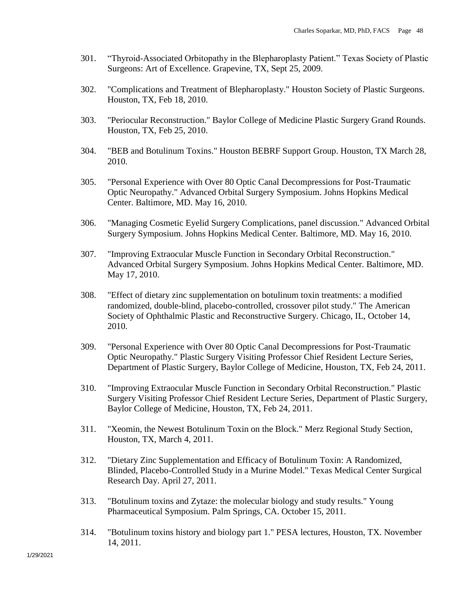- 301. "Thyroid-Associated Orbitopathy in the Blepharoplasty Patient." Texas Society of Plastic Surgeons: Art of Excellence. Grapevine, TX, Sept 25, 2009.
- 302. "Complications and Treatment of Blepharoplasty." Houston Society of Plastic Surgeons. Houston, TX, Feb 18, 2010.
- 303. "Periocular Reconstruction." Baylor College of Medicine Plastic Surgery Grand Rounds. Houston, TX, Feb 25, 2010.
- 304. "BEB and Botulinum Toxins." Houston BEBRF Support Group. Houston, TX March 28, 2010.
- 305. "Personal Experience with Over 80 Optic Canal Decompressions for Post-Traumatic Optic Neuropathy." Advanced Orbital Surgery Symposium. Johns Hopkins Medical Center. Baltimore, MD. May 16, 2010.
- 306. "Managing Cosmetic Eyelid Surgery Complications, panel discussion." Advanced Orbital Surgery Symposium. Johns Hopkins Medical Center. Baltimore, MD. May 16, 2010.
- 307. "Improving Extraocular Muscle Function in Secondary Orbital Reconstruction." Advanced Orbital Surgery Symposium. Johns Hopkins Medical Center. Baltimore, MD. May 17, 2010.
- 308. "Effect of dietary zinc supplementation on botulinum toxin treatments: a modified randomized, double-blind, placebo-controlled, crossover pilot study." The American Society of Ophthalmic Plastic and Reconstructive Surgery. Chicago, IL, October 14, 2010.
- 309. "Personal Experience with Over 80 Optic Canal Decompressions for Post-Traumatic Optic Neuropathy." Plastic Surgery Visiting Professor Chief Resident Lecture Series, Department of Plastic Surgery, Baylor College of Medicine, Houston, TX, Feb 24, 2011.
- 310. "Improving Extraocular Muscle Function in Secondary Orbital Reconstruction." Plastic Surgery Visiting Professor Chief Resident Lecture Series, Department of Plastic Surgery, Baylor College of Medicine, Houston, TX, Feb 24, 2011.
- 311. "Xeomin, the Newest Botulinum Toxin on the Block." Merz Regional Study Section, Houston, TX, March 4, 2011.
- 312. "Dietary Zinc Supplementation and Efficacy of Botulinum Toxin: A Randomized, Blinded, Placebo-Controlled Study in a Murine Model." Texas Medical Center Surgical Research Day. April 27, 2011.
- 313. "Botulinum toxins and Zytaze: the molecular biology and study results." Young Pharmaceutical Symposium. Palm Springs, CA. October 15, 2011.
- 314. "Botulinum toxins history and biology part 1." PESA lectures, Houston, TX. November 14, 2011.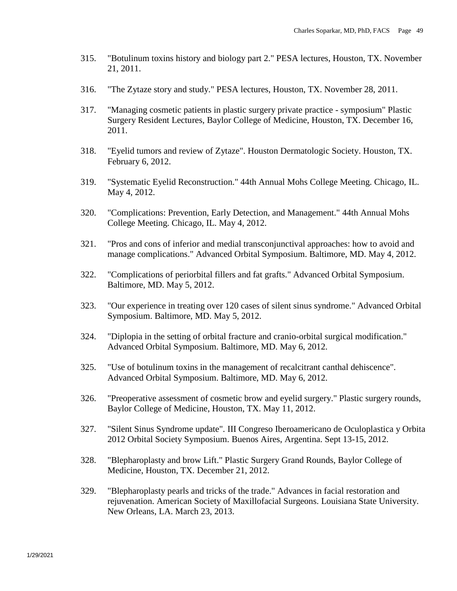- 315. "Botulinum toxins history and biology part 2." PESA lectures, Houston, TX. November 21, 2011.
- 316. "The Zytaze story and study." PESA lectures, Houston, TX. November 28, 2011.
- 317. "Managing cosmetic patients in plastic surgery private practice symposium" Plastic Surgery Resident Lectures, Baylor College of Medicine, Houston, TX. December 16, 2011.
- 318. "Eyelid tumors and review of Zytaze". Houston Dermatologic Society. Houston, TX. February 6, 2012.
- 319. "Systematic Eyelid Reconstruction." 44th Annual Mohs College Meeting. Chicago, IL. May 4, 2012.
- 320. "Complications: Prevention, Early Detection, and Management." 44th Annual Mohs College Meeting. Chicago, IL. May 4, 2012.
- 321. "Pros and cons of inferior and medial transconjunctival approaches: how to avoid and manage complications." Advanced Orbital Symposium. Baltimore, MD. May 4, 2012.
- 322. "Complications of periorbital fillers and fat grafts." Advanced Orbital Symposium. Baltimore, MD. May 5, 2012.
- 323. "Our experience in treating over 120 cases of silent sinus syndrome." Advanced Orbital Symposium. Baltimore, MD. May 5, 2012.
- 324. "Diplopia in the setting of orbital fracture and cranio-orbital surgical modification." Advanced Orbital Symposium. Baltimore, MD. May 6, 2012.
- 325. "Use of botulinum toxins in the management of recalcitrant canthal dehiscence". Advanced Orbital Symposium. Baltimore, MD. May 6, 2012.
- 326. "Preoperative assessment of cosmetic brow and eyelid surgery." Plastic surgery rounds, Baylor College of Medicine, Houston, TX. May 11, 2012.
- 327. "Silent Sinus Syndrome update". III Congreso Iberoamericano de Oculoplastica y Orbita 2012 Orbital Society Symposium. Buenos Aires, Argentina. Sept 13-15, 2012.
- 328. "Blepharoplasty and brow Lift." Plastic Surgery Grand Rounds, Baylor College of Medicine, Houston, TX. December 21, 2012.
- 329. "Blepharoplasty pearls and tricks of the trade." Advances in facial restoration and rejuvenation. American Society of Maxillofacial Surgeons. Louisiana State University. New Orleans, LA. March 23, 2013.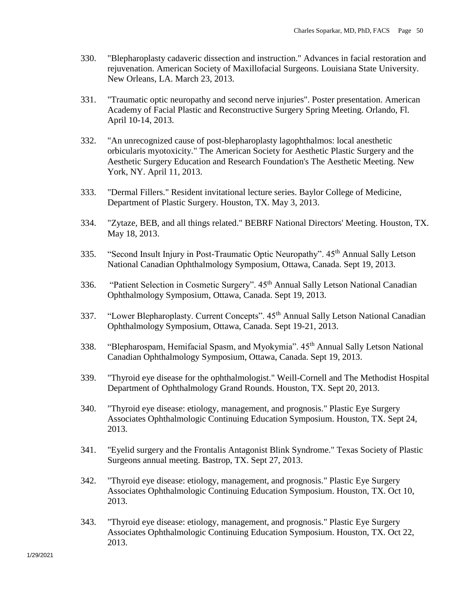- 330. "Blepharoplasty cadaveric dissection and instruction." Advances in facial restoration and rejuvenation. American Society of Maxillofacial Surgeons. Louisiana State University. New Orleans, LA. March 23, 2013.
- 331. "Traumatic optic neuropathy and second nerve injuries". Poster presentation. American Academy of Facial Plastic and Reconstructive Surgery Spring Meeting. Orlando, Fl. April 10-14, 2013.
- 332. "An unrecognized cause of post-blepharoplasty lagophthalmos: local anesthetic orbicularis myotoxicity." The American Society for Aesthetic Plastic Surgery and the Aesthetic Surgery Education and Research Foundation's The Aesthetic Meeting. New York, NY. April 11, 2013.
- 333. "Dermal Fillers." Resident invitational lecture series. Baylor College of Medicine, Department of Plastic Surgery. Houston, TX. May 3, 2013.
- 334. "Zytaze, BEB, and all things related." BEBRF National Directors' Meeting. Houston, TX. May 18, 2013.
- 335. "Second Insult Injury in Post-Traumatic Optic Neuropathy". 45<sup>th</sup> Annual Sally Letson National Canadian Ophthalmology Symposium, Ottawa, Canada. Sept 19, 2013.
- 336. "Patient Selection in Cosmetic Surgery". 45<sup>th</sup> Annual Sally Letson National Canadian Ophthalmology Symposium, Ottawa, Canada. Sept 19, 2013.
- 337. "Lower Blepharoplasty. Current Concepts". 45<sup>th</sup> Annual Sally Letson National Canadian Ophthalmology Symposium, Ottawa, Canada. Sept 19-21, 2013.
- 338. "Blepharospam, Hemifacial Spasm, and Myokymia". 45<sup>th</sup> Annual Sally Letson National Canadian Ophthalmology Symposium, Ottawa, Canada. Sept 19, 2013.
- 339. "Thyroid eye disease for the ophthalmologist." Weill-Cornell and The Methodist Hospital Department of Ophthalmology Grand Rounds. Houston, TX. Sept 20, 2013.
- 340. "Thyroid eye disease: etiology, management, and prognosis." Plastic Eye Surgery Associates Ophthalmologic Continuing Education Symposium. Houston, TX. Sept 24, 2013.
- 341. "Eyelid surgery and the Frontalis Antagonist Blink Syndrome." Texas Society of Plastic Surgeons annual meeting. Bastrop, TX. Sept 27, 2013.
- 342. "Thyroid eye disease: etiology, management, and prognosis." Plastic Eye Surgery Associates Ophthalmologic Continuing Education Symposium. Houston, TX. Oct 10, 2013.
- 343. "Thyroid eye disease: etiology, management, and prognosis." Plastic Eye Surgery Associates Ophthalmologic Continuing Education Symposium. Houston, TX. Oct 22, 2013.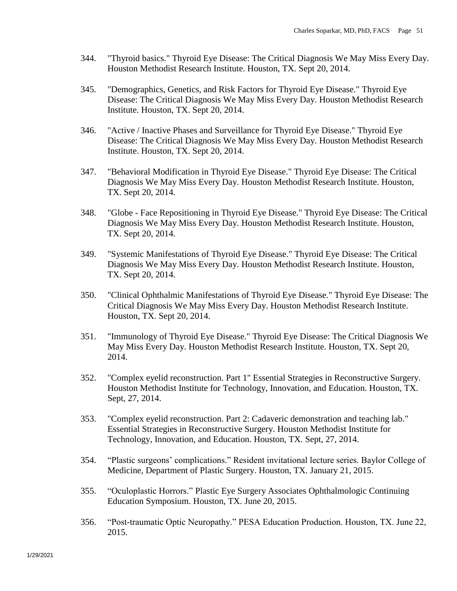- 344. "Thyroid basics." Thyroid Eye Disease: The Critical Diagnosis We May Miss Every Day. Houston Methodist Research Institute. Houston, TX. Sept 20, 2014.
- 345. "Demographics, Genetics, and Risk Factors for Thyroid Eye Disease." Thyroid Eye Disease: The Critical Diagnosis We May Miss Every Day. Houston Methodist Research Institute. Houston, TX. Sept 20, 2014.
- 346. "Active / Inactive Phases and Surveillance for Thyroid Eye Disease." Thyroid Eye Disease: The Critical Diagnosis We May Miss Every Day. Houston Methodist Research Institute. Houston, TX. Sept 20, 2014.
- 347. "Behavioral Modification in Thyroid Eye Disease." Thyroid Eye Disease: The Critical Diagnosis We May Miss Every Day. Houston Methodist Research Institute. Houston, TX. Sept 20, 2014.
- 348. "Globe Face Repositioning in Thyroid Eye Disease." Thyroid Eye Disease: The Critical Diagnosis We May Miss Every Day. Houston Methodist Research Institute. Houston, TX. Sept 20, 2014.
- 349. "Systemic Manifestations of Thyroid Eye Disease." Thyroid Eye Disease: The Critical Diagnosis We May Miss Every Day. Houston Methodist Research Institute. Houston, TX. Sept 20, 2014.
- 350. "Clinical Ophthalmic Manifestations of Thyroid Eye Disease." Thyroid Eye Disease: The Critical Diagnosis We May Miss Every Day. Houston Methodist Research Institute. Houston, TX. Sept 20, 2014.
- 351. "Immunology of Thyroid Eye Disease." Thyroid Eye Disease: The Critical Diagnosis We May Miss Every Day. Houston Methodist Research Institute. Houston, TX. Sept 20, 2014.
- 352. "Complex eyelid reconstruction. Part 1" Essential Strategies in Reconstructive Surgery. Houston Methodist Institute for Technology, Innovation, and Education. Houston, TX. Sept, 27, 2014.
- 353. "Complex eyelid reconstruction. Part 2: Cadaveric demonstration and teaching lab." Essential Strategies in Reconstructive Surgery. Houston Methodist Institute for Technology, Innovation, and Education. Houston, TX. Sept, 27, 2014.
- 354. "Plastic surgeons' complications." Resident invitational lecture series. Baylor College of Medicine, Department of Plastic Surgery. Houston, TX. January 21, 2015.
- 355. "Oculoplastic Horrors." Plastic Eye Surgery Associates Ophthalmologic Continuing Education Symposium. Houston, TX. June 20, 2015.
- 356. "Post-traumatic Optic Neuropathy." PESA Education Production. Houston, TX. June 22, 2015.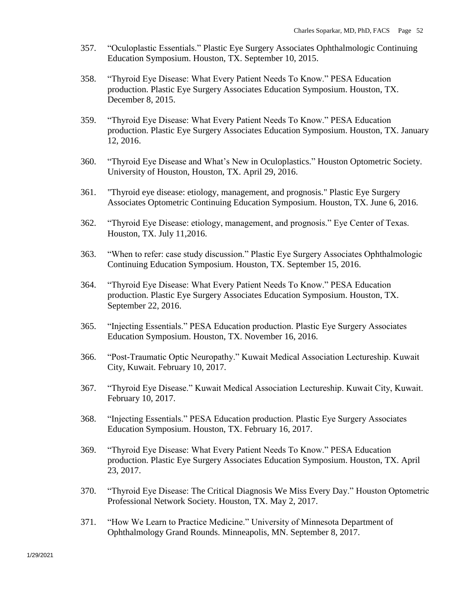- 357. "Oculoplastic Essentials." Plastic Eye Surgery Associates Ophthalmologic Continuing Education Symposium. Houston, TX. September 10, 2015.
- 358. "Thyroid Eye Disease: What Every Patient Needs To Know." PESA Education production. Plastic Eye Surgery Associates Education Symposium. Houston, TX. December 8, 2015.
- 359. "Thyroid Eye Disease: What Every Patient Needs To Know." PESA Education production. Plastic Eye Surgery Associates Education Symposium. Houston, TX. January 12, 2016.
- 360. "Thyroid Eye Disease and What's New in Oculoplastics." Houston Optometric Society. University of Houston, Houston, TX. April 29, 2016.
- 361. "Thyroid eye disease: etiology, management, and prognosis." Plastic Eye Surgery Associates Optometric Continuing Education Symposium. Houston, TX. June 6, 2016.
- 362. "Thyroid Eye Disease: etiology, management, and prognosis." Eye Center of Texas. Houston, TX. July 11,2016.
- 363. "When to refer: case study discussion." Plastic Eye Surgery Associates Ophthalmologic Continuing Education Symposium. Houston, TX. September 15, 2016.
- 364. "Thyroid Eye Disease: What Every Patient Needs To Know." PESA Education production. Plastic Eye Surgery Associates Education Symposium. Houston, TX. September 22, 2016.
- 365. "Injecting Essentials." PESA Education production. Plastic Eye Surgery Associates Education Symposium. Houston, TX. November 16, 2016.
- 366. "Post-Traumatic Optic Neuropathy." Kuwait Medical Association Lectureship. Kuwait City, Kuwait. February 10, 2017.
- 367. "Thyroid Eye Disease." Kuwait Medical Association Lectureship. Kuwait City, Kuwait. February 10, 2017.
- 368. "Injecting Essentials." PESA Education production. Plastic Eye Surgery Associates Education Symposium. Houston, TX. February 16, 2017.
- 369. "Thyroid Eye Disease: What Every Patient Needs To Know." PESA Education production. Plastic Eye Surgery Associates Education Symposium. Houston, TX. April 23, 2017.
- 370. "Thyroid Eye Disease: The Critical Diagnosis We Miss Every Day." Houston Optometric Professional Network Society. Houston, TX. May 2, 2017.
- 371. "How We Learn to Practice Medicine." University of Minnesota Department of Ophthalmology Grand Rounds. Minneapolis, MN. September 8, 2017.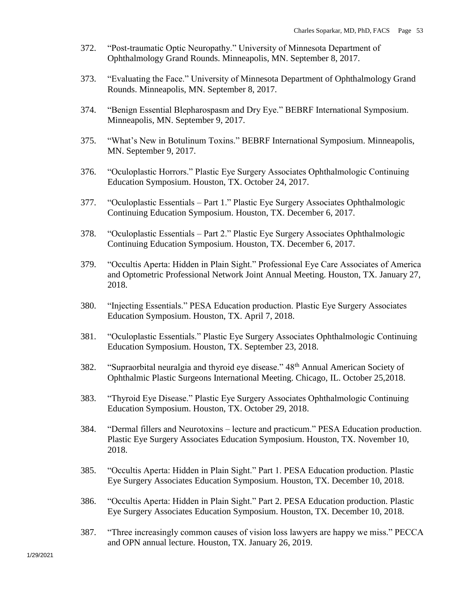- 372. "Post-traumatic Optic Neuropathy." University of Minnesota Department of Ophthalmology Grand Rounds. Minneapolis, MN. September 8, 2017.
- 373. "Evaluating the Face." University of Minnesota Department of Ophthalmology Grand Rounds. Minneapolis, MN. September 8, 2017.
- 374. "Benign Essential Blepharospasm and Dry Eye." BEBRF International Symposium. Minneapolis, MN. September 9, 2017.
- 375. "What's New in Botulinum Toxins." BEBRF International Symposium. Minneapolis, MN. September 9, 2017.
- 376. "Oculoplastic Horrors." Plastic Eye Surgery Associates Ophthalmologic Continuing Education Symposium. Houston, TX. October 24, 2017.
- 377. "Oculoplastic Essentials Part 1." Plastic Eye Surgery Associates Ophthalmologic Continuing Education Symposium. Houston, TX. December 6, 2017.
- 378. "Oculoplastic Essentials Part 2." Plastic Eye Surgery Associates Ophthalmologic Continuing Education Symposium. Houston, TX. December 6, 2017.
- 379. "Occultis Aperta: Hidden in Plain Sight." Professional Eye Care Associates of America and Optometric Professional Network Joint Annual Meeting. Houston, TX. January 27, 2018.
- 380. "Injecting Essentials." PESA Education production. Plastic Eye Surgery Associates Education Symposium. Houston, TX. April 7, 2018.
- 381. "Oculoplastic Essentials." Plastic Eye Surgery Associates Ophthalmologic Continuing Education Symposium. Houston, TX. September 23, 2018.
- 382. "Supraorbital neuralgia and thyroid eye disease." 48<sup>th</sup> Annual American Society of Ophthalmic Plastic Surgeons International Meeting. Chicago, IL. October 25,2018.
- 383. "Thyroid Eye Disease." Plastic Eye Surgery Associates Ophthalmologic Continuing Education Symposium. Houston, TX. October 29, 2018.
- 384. "Dermal fillers and Neurotoxins lecture and practicum." PESA Education production. Plastic Eye Surgery Associates Education Symposium. Houston, TX. November 10, 2018.
- 385. "Occultis Aperta: Hidden in Plain Sight." Part 1. PESA Education production. Plastic Eye Surgery Associates Education Symposium. Houston, TX. December 10, 2018.
- 386. "Occultis Aperta: Hidden in Plain Sight." Part 2. PESA Education production. Plastic Eye Surgery Associates Education Symposium. Houston, TX. December 10, 2018.
- 387. "Three increasingly common causes of vision loss lawyers are happy we miss." PECCA and OPN annual lecture. Houston, TX. January 26, 2019.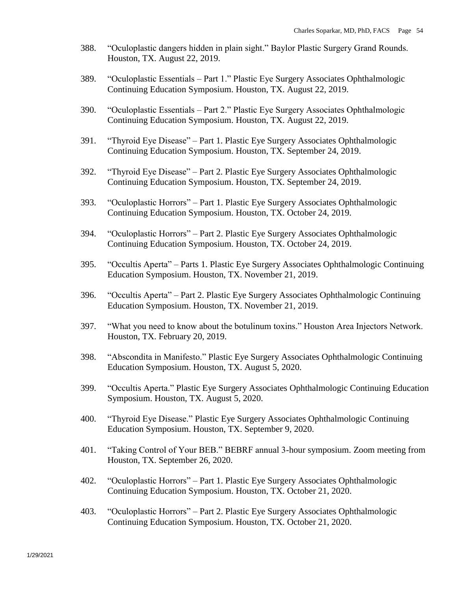- 388. "Oculoplastic dangers hidden in plain sight." Baylor Plastic Surgery Grand Rounds. Houston, TX. August 22, 2019.
- 389. "Oculoplastic Essentials Part 1." Plastic Eye Surgery Associates Ophthalmologic Continuing Education Symposium. Houston, TX. August 22, 2019.
- 390. "Oculoplastic Essentials Part 2." Plastic Eye Surgery Associates Ophthalmologic Continuing Education Symposium. Houston, TX. August 22, 2019.
- 391. "Thyroid Eye Disease" Part 1. Plastic Eye Surgery Associates Ophthalmologic Continuing Education Symposium. Houston, TX. September 24, 2019.
- 392. "Thyroid Eye Disease" Part 2. Plastic Eye Surgery Associates Ophthalmologic Continuing Education Symposium. Houston, TX. September 24, 2019.
- 393. "Oculoplastic Horrors" Part 1. Plastic Eye Surgery Associates Ophthalmologic Continuing Education Symposium. Houston, TX. October 24, 2019.
- 394. "Oculoplastic Horrors" Part 2. Plastic Eye Surgery Associates Ophthalmologic Continuing Education Symposium. Houston, TX. October 24, 2019.
- 395. "Occultis Aperta" Parts 1. Plastic Eye Surgery Associates Ophthalmologic Continuing Education Symposium. Houston, TX. November 21, 2019.
- 396. "Occultis Aperta" Part 2. Plastic Eye Surgery Associates Ophthalmologic Continuing Education Symposium. Houston, TX. November 21, 2019.
- 397. "What you need to know about the botulinum toxins." Houston Area Injectors Network. Houston, TX. February 20, 2019.
- 398. "Abscondita in Manifesto." Plastic Eye Surgery Associates Ophthalmologic Continuing Education Symposium. Houston, TX. August 5, 2020.
- 399. "Occultis Aperta." Plastic Eye Surgery Associates Ophthalmologic Continuing Education Symposium. Houston, TX. August 5, 2020.
- 400. "Thyroid Eye Disease." Plastic Eye Surgery Associates Ophthalmologic Continuing Education Symposium. Houston, TX. September 9, 2020.
- 401. "Taking Control of Your BEB." BEBRF annual 3-hour symposium. Zoom meeting from Houston, TX. September 26, 2020.
- 402. "Oculoplastic Horrors" Part 1. Plastic Eye Surgery Associates Ophthalmologic Continuing Education Symposium. Houston, TX. October 21, 2020.
- 403. "Oculoplastic Horrors" Part 2. Plastic Eye Surgery Associates Ophthalmologic Continuing Education Symposium. Houston, TX. October 21, 2020.